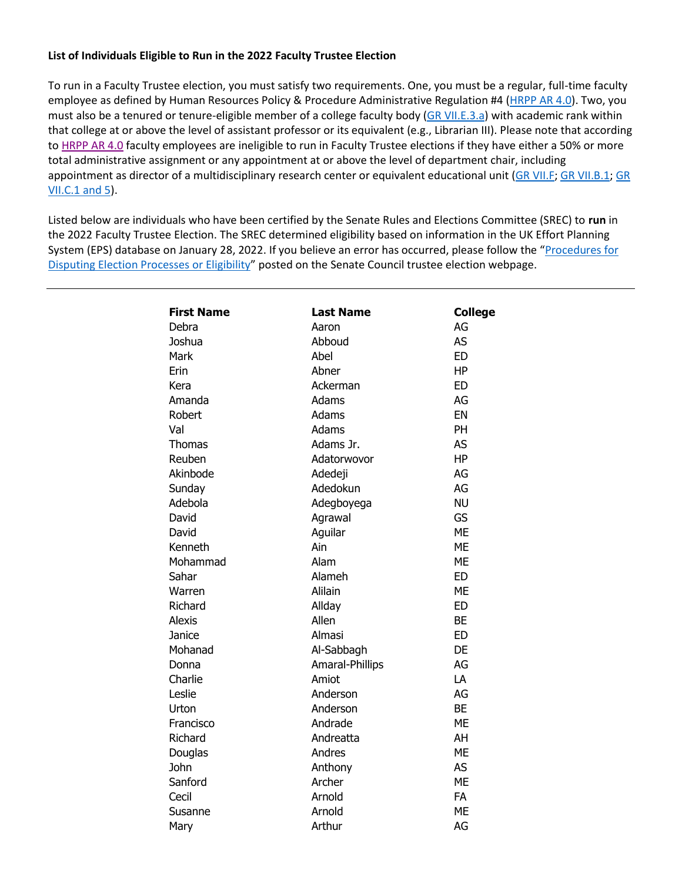## **List of Individuals Eligible to Run in the 2022 Faculty Trustee Election**

To run in a Faculty Trustee election, you must satisfy two requirements. One, you must be a regular, full-time faculty employee as defined by Human Resources Policy & Procedure Administrative Regulation #4 [\(HRPP AR 4.0\)](https://www.uky.edu/hr/policies/employee-status). Two, you must also be a tenured or tenure-eligible member of a college faculty body [\(GR VII.E.3.a\)](https://www.uky.edu/regs/sites/www.uky.edu.regs/files/files/gr/gr7.pdf) with academic rank within that college at or above the level of assistant professor or its equivalent (e.g., Librarian III). Please note that according to [HRPP AR 4.0](https://www.uky.edu/hr/policies/employee-status) faculty employees are ineligible to run in Faculty Trustee elections if they have either a 50% or more total administrative assignment or any appointment at or above the level of department chair, including appointment as director of a multidisciplinary research center or equivalent educational unit (GR VII.F; GR VII.B.1; GR [VII.C.1 and 5\)](http://www.uky.edu/regs/sites/www.uky.edu.regs/files/files/gr/gr7.pdf).

Listed below are individuals who have been certified by the Senate Rules and Elections Committee (SREC) to **run** in the 2022 Faculty Trustee Election. The SREC determined eligibility based on information in the UK Effort Planning System (EPS) database on January 28, 2022. If you believe an error has occurred, please follow the "[Procedures for](https://drive.google.com/file/d/17UVtnCXNkHImvKNp2bZSKfMZ0yfzsinX/view?usp=sharing)  [Disputing Election Processes or Eligibility](https://drive.google.com/file/d/17UVtnCXNkHImvKNp2bZSKfMZ0yfzsinX/view?usp=sharing)" posted on the Senate Council trustee election webpage.

| <b>First Name</b> | <b>Last Name</b> | <b>College</b> |
|-------------------|------------------|----------------|
| Debra             | Aaron            | AG             |
| Joshua            | Abboud           | <b>AS</b>      |
| Mark              | Abel             | <b>ED</b>      |
| Erin              | Abner            | <b>HP</b>      |
| Kera              | Ackerman         | <b>ED</b>      |
| Amanda            | Adams            | AG             |
| Robert            | Adams            | EN             |
| Val               | Adams            | PH             |
| <b>Thomas</b>     | Adams Jr.        | <b>AS</b>      |
| Reuben            | Adatorwovor      | <b>HP</b>      |
| Akinbode          | Adedeji          | AG             |
| Sunday            | Adedokun         | AG             |
| Adebola           | Adegboyega       | <b>NU</b>      |
| David             | Agrawal          | <b>GS</b>      |
| David             | Aguilar          | <b>ME</b>      |
| Kenneth           | Ain              | <b>ME</b>      |
| Mohammad          | Alam             | <b>ME</b>      |
| Sahar             | Alameh           | <b>ED</b>      |
| Warren            | Alilain          | <b>ME</b>      |
| Richard           | Allday           | <b>ED</b>      |
| <b>Alexis</b>     | Allen            | <b>BE</b>      |
| Janice            | Almasi           | <b>ED</b>      |
| Mohanad           | Al-Sabbagh       | DE             |
| Donna             | Amaral-Phillips  | AG             |
| Charlie           | Amiot            | LA             |
| Leslie            | Anderson         | AG             |
| Urton             | Anderson         | <b>BE</b>      |
| Francisco         | Andrade          | <b>ME</b>      |
| Richard           | Andreatta        | AH             |
| Douglas           | Andres           | <b>ME</b>      |
| <b>John</b>       | Anthony          | <b>AS</b>      |
| Sanford           | Archer           | <b>ME</b>      |
| Cecil             | Arnold           | <b>FA</b>      |
| Susanne           | Arnold           | <b>ME</b>      |
| Mary              | Arthur           | AG             |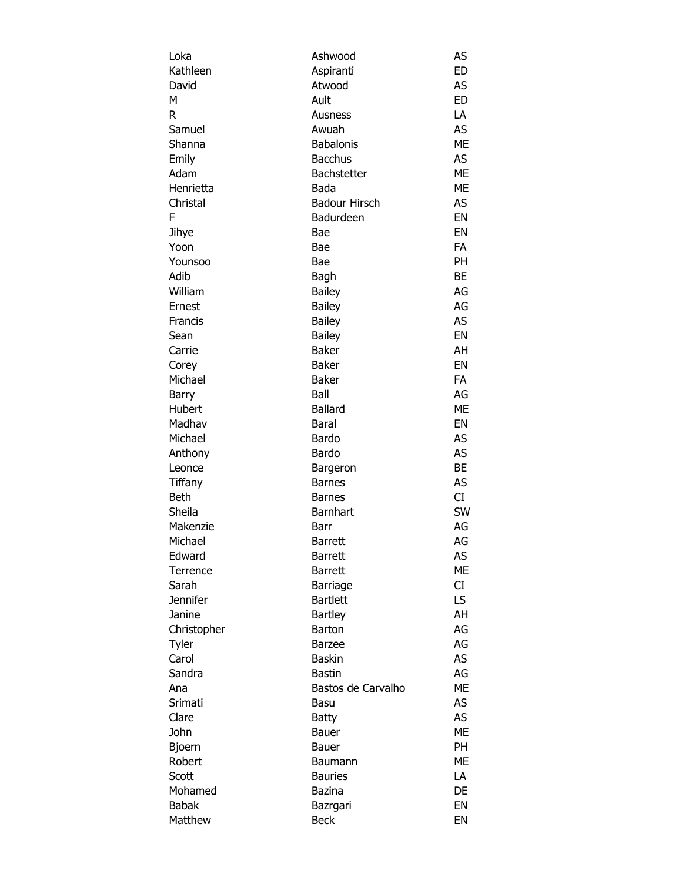| Loka            | Ashwood              | AS        |
|-----------------|----------------------|-----------|
| Kathleen        | Aspiranti            | <b>ED</b> |
| David           | Atwood               | AS        |
| М               | Ault                 | <b>ED</b> |
| R               | Ausness              | LA        |
| Samuel          | Awuah                | <b>AS</b> |
| Shanna          | <b>Babalonis</b>     | <b>ME</b> |
| Emily           | <b>Bacchus</b>       | <b>AS</b> |
| Adam            | Bachstetter          | ME        |
| Henrietta       | Bada                 | <b>ME</b> |
| Christal        | <b>Badour Hirsch</b> | AS        |
| F               | Badurdeen            | EN        |
| Jihye           | Bae                  | EN        |
| Yoon            | Bae                  | <b>FA</b> |
| Younsoo         | Bae                  | PH        |
| Adib            | Bagh                 | BE        |
| William         | <b>Bailey</b>        | AG        |
| Ernest          | <b>Bailey</b>        | AG        |
| Francis         | Bailey               | AS        |
| Sean            | <b>Bailey</b>        | EN        |
| Carrie          | <b>Baker</b>         | AH        |
| Corey           | <b>Baker</b>         | EN        |
| Michael         | <b>Baker</b>         | FA        |
| Barry           | Ball                 | AG        |
| Hubert          | <b>Ballard</b>       | ME        |
| Madhav          | Baral                | EN        |
| Michael         | Bardo                | AS        |
| Anthony         | Bardo                | <b>AS</b> |
| Leonce          | Bargeron             | <b>BE</b> |
| Tiffany         | <b>Barnes</b>        | AS        |
| <b>Beth</b>     | <b>Barnes</b>        | CI        |
| Sheila          | <b>Barnhart</b>      | SW        |
| Makenzie        | Barr                 | AG        |
| Michael         | <b>Barrett</b>       | AG        |
| Edward          | <b>Barrett</b>       | AS        |
| Terrence        | <b>Barrett</b>       | МE        |
| Sarah           | Barriage             | CI        |
| <b>Jennifer</b> | <b>Bartlett</b>      | LS.       |
| Janine          | <b>Bartley</b>       | AH        |
| Christopher     | <b>Barton</b>        | AG        |
|                 | <b>Barzee</b>        | AG        |
| Tyler<br>Carol  | <b>Baskin</b>        | AS        |
|                 |                      |           |
| Sandra          | <b>Bastin</b>        | AG        |
| Ana             | Bastos de Carvalho   | ME        |
| Srimati         | Basu                 | <b>AS</b> |
| Clare           | <b>Batty</b>         | AS        |
| John            | Bauer                | ME        |
| <b>Bjoern</b>   | Bauer                | <b>PH</b> |
| Robert          | Baumann              | ME        |
| Scott           | <b>Bauries</b>       | LA        |
| Mohamed         | <b>Bazina</b>        | DE        |
| <b>Babak</b>    | Bazrgari             | EN        |
| Matthew         | <b>Beck</b>          | EN        |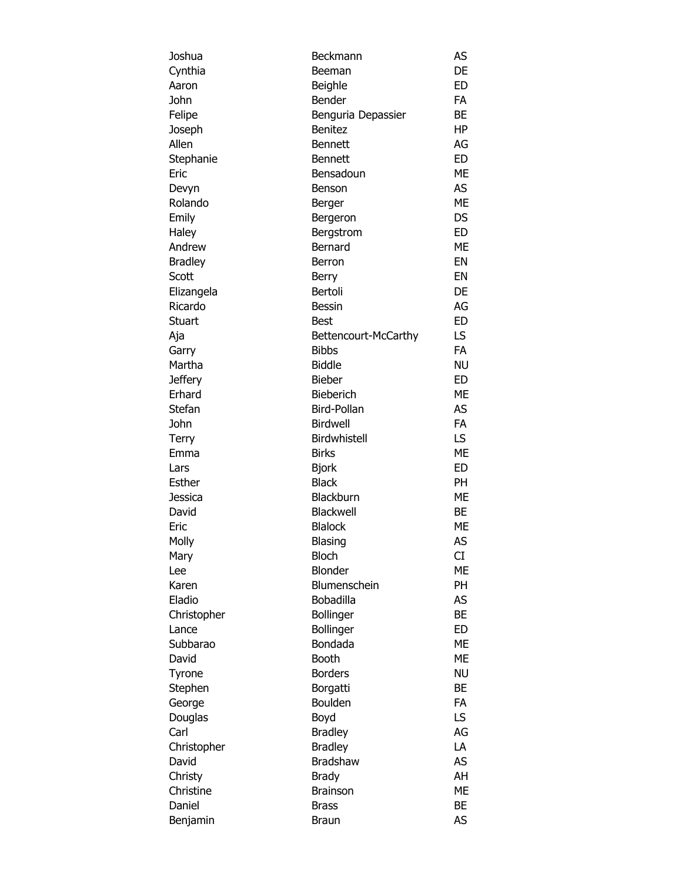| Joshua         | Beckmann                | AS        |
|----------------|-------------------------|-----------|
| Cynthia        | Beeman                  | DE        |
| Aaron          | Beighle                 | ED        |
| John           | Bender                  | <b>FA</b> |
| Felipe         | Benguria Depassier      | <b>BE</b> |
| Joseph         | <b>Benitez</b>          | HP        |
| Allen          | <b>Bennett</b>          | AG        |
| Stephanie      | <b>Bennett</b>          | ED        |
| Eric           | Bensadoun               | <b>ME</b> |
| Devyn          | Benson                  | AS        |
| Rolando        | Berger                  | <b>ME</b> |
| Emily          | Bergeron                | <b>DS</b> |
| Haley          | Bergstrom               | ED        |
| Andrew         | Bernard                 | ME        |
| <b>Bradley</b> | <b>Berron</b>           | EN        |
| Scott          | <b>Berry</b>            | EN        |
| Elizangela     | Bertoli                 | DE        |
| Ricardo        | <b>Bessin</b>           | AG        |
| Stuart         | <b>Best</b>             | <b>ED</b> |
| Aja            | Bettencourt-McCarthy    | LS.       |
| Garry          | <b>Bibbs</b>            | <b>FA</b> |
| Martha         | <b>Biddle</b>           | <b>NU</b> |
| Jeffery        | <b>Bieber</b>           | ED        |
| Erhard         | Bieberich               | ME        |
| Stefan         | Bird-Pollan             | AS        |
| John           | Birdwell                | <b>FA</b> |
| Terry          | Birdwhistell            | LS.       |
| Emma           | <b>Birks</b>            | <b>ME</b> |
| Lars           | <b>Bjork</b>            | <b>ED</b> |
| Esther         | <b>Black</b>            | <b>PH</b> |
| Jessica        | Blackburn               | <b>ME</b> |
| David          | Blackwell               | BE        |
| Eric           | <b>Blalock</b>          | <b>ME</b> |
|                |                         | AS        |
| Molly          | Blasing<br><b>Bloch</b> | CI        |
| Mary           | <b>Blonder</b>          | ME        |
| Lee            |                         |           |
| Karen          | Blumenschein            | PH        |
| Eladio         | Bobadilla               | AS        |
| Christopher    | <b>Bollinger</b>        | <b>BE</b> |
| Lance          | Bollinger               | <b>ED</b> |
| Subbarao       | Bondada                 | <b>ME</b> |
| David          | <b>Booth</b>            | МE        |
| Tyrone         | <b>Borders</b>          | <b>NU</b> |
| Stephen        | Borgatti                | BE        |
| George         | Boulden                 | <b>FA</b> |
| Douglas        | Boyd                    | LS.       |
| Carl           | <b>Bradley</b>          | AG        |
| Christopher    | <b>Bradley</b>          | LA        |
| David          | <b>Bradshaw</b>         | AS        |
| Christy        | <b>Brady</b>            | AH        |
| Christine      | <b>Brainson</b>         | <b>ME</b> |
| Daniel         | <b>Brass</b>            | <b>BE</b> |
| Benjamin       | <b>Braun</b>            | AS        |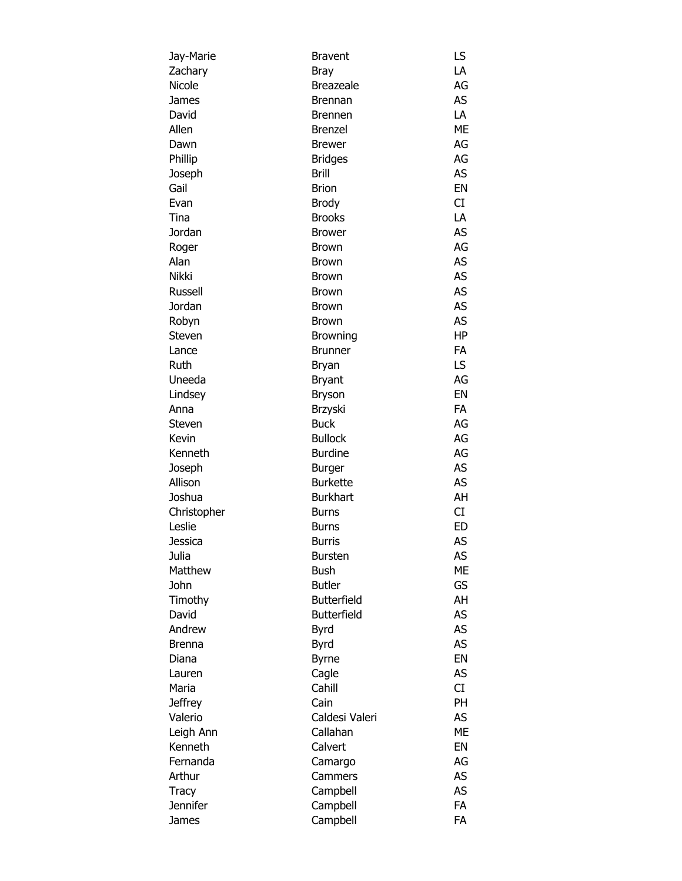| Jay-Marie                 | <b>Bravent</b>     | LS        |
|---------------------------|--------------------|-----------|
| Zachary                   | Bray               | LA        |
| Nicole                    | <b>Breazeale</b>   | AG        |
| James                     | Brennan            | AS        |
| David                     | <b>Brennen</b>     | LA        |
| Allen                     | <b>Brenzel</b>     | ME        |
| Dawn                      | <b>Brewer</b>      | AG        |
| Phillip                   | <b>Bridges</b>     | AG        |
| Joseph                    | <b>Brill</b>       | <b>AS</b> |
| Gail                      | <b>Brion</b>       | EN        |
| Evan                      | <b>Brody</b>       | CI        |
| Tina                      | <b>Brooks</b>      | LA        |
| Jordan                    | <b>Brower</b>      | AS        |
| Roger                     | Brown              | AG        |
| Alan                      | <b>Brown</b>       | AS        |
| Nikki                     | <b>Brown</b>       | AS        |
| Russell                   | <b>Brown</b>       | AS        |
| Jordan                    | <b>Brown</b>       | AS        |
| Robyn                     | Brown              | AS        |
| Steven                    | <b>Browning</b>    | HP        |
| Lance                     | <b>Brunner</b>     | FA        |
| Ruth                      | Bryan              | LS        |
| Uneeda                    | <b>Bryant</b>      | AG        |
| Lindsey                   | Bryson             | EN        |
| Anna                      | Brzyski            | FA        |
| Steven                    | <b>Buck</b>        | AG        |
| Kevin                     | <b>Bullock</b>     | AG        |
| Kenneth                   | <b>Burdine</b>     | AG        |
| Joseph                    | <b>Burger</b>      | AS        |
| Allison                   | <b>Burkette</b>    | AS        |
| Joshua                    | <b>Burkhart</b>    | AH        |
| Christopher               | Burns              | CI        |
| Leslie                    | <b>Burns</b>       | ED        |
| Jessica                   | <b>Burris</b>      | AS        |
| Julia                     | <b>Bursten</b>     | AS        |
| Matthew                   | <b>Bush</b>        | ME        |
| John                      | <b>Butler</b>      | GS        |
| Timothy                   | <b>Butterfield</b> | AH        |
| David                     | <b>Butterfield</b> | AS        |
| Andrew                    |                    | <b>AS</b> |
|                           | Byrd               | AS        |
| <b>Brenna</b><br>Diana    | Byrd               | EN        |
|                           | <b>Byrne</b>       | AS        |
| Lauren<br>Maria           | Cagle<br>Cahill    | CI        |
|                           | Cain               | PH        |
| <b>Jeffrey</b><br>Valerio | Caldesi Valeri     | AS        |
|                           | Callahan           | ME        |
| Leigh Ann                 |                    |           |
| Kenneth                   | Calvert            | EN        |
| Fernanda                  | Camargo            | AG        |
| Arthur                    | Cammers            | AS        |
| Tracy                     | Campbell           | AS        |
| <b>Jennifer</b>           | Campbell           | <b>FA</b> |
| James                     | Campbell           | FA        |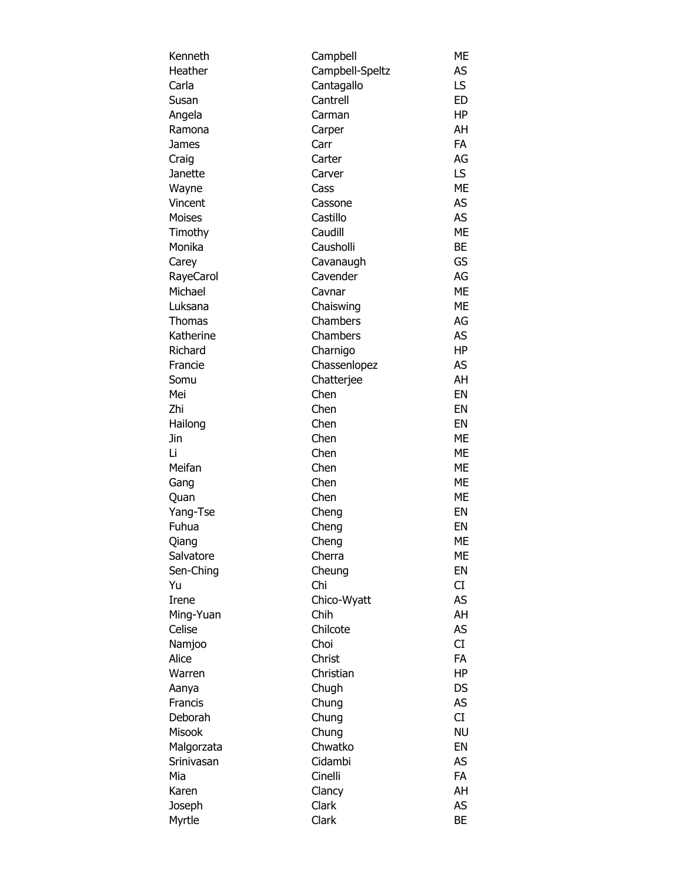| Kenneth    | Campbell        | ME        |
|------------|-----------------|-----------|
| Heather    | Campbell-Speltz | AS        |
| Carla      | Cantagallo      | LS        |
| Susan      | Cantrell        | <b>ED</b> |
| Angela     | Carman          | HP        |
| Ramona     | Carper          | AH        |
| James      | Carr            | FA        |
| Craig      | Carter          | AG        |
| Janette    | Carver          | LS.       |
| Wayne      | Cass            | <b>ME</b> |
| Vincent    | Cassone         | AS        |
| Moises     | Castillo        | <b>AS</b> |
|            | Caudill         | <b>ME</b> |
| Timothy    |                 |           |
| Monika     | Causholli       | BE        |
| Carey      | Cavanaugh       | GS        |
| RayeCarol  | Cavender        | AG        |
| Michael    | Cavnar          | <b>ME</b> |
| Luksana    | Chaiswing       | <b>ME</b> |
| Thomas     | Chambers        | AG        |
| Katherine  | Chambers        | <b>AS</b> |
| Richard    | Charnigo        | HP        |
| Francie    | Chassenlopez    | AS        |
| Somu       | Chatterjee      | AH        |
| Mei        | Chen            | EN        |
| Zhi        | Chen            | EN        |
| Hailong    | Chen            | EN        |
| Jin        | Chen            | ME        |
| Li         | Chen            | <b>ME</b> |
| Meifan     | Chen            | <b>ME</b> |
| Gang       | Chen            | <b>ME</b> |
| Quan       | Chen            | ME        |
| Yang-Tse   | Cheng           | EN        |
| Fuhua      | Cheng           | EN        |
| Qiang      | Cheng           | ME        |
| Salvatore  | Cherra          | ME        |
|            |                 | EN        |
| Sen-Ching  | Cheung          |           |
| Yu         | Chi             | CI        |
| Irene      | Chico-Wyatt     | AS        |
| Ming-Yuan  | Chih            | AH        |
| Celise     | Chilcote        | AS        |
| Namjoo     | Choi            | CI        |
| Alice      | Christ          | <b>FA</b> |
| Warren     | Christian       | <b>HP</b> |
| Aanya      | Chugh           | DS        |
| Francis    | Chung           | <b>AS</b> |
| Deborah    | Chung           | CI        |
| Misook     | Chung           | <b>NU</b> |
| Malgorzata | Chwatko         | EN        |
| Srinivasan | Cidambi         | AS        |
| Mia        | Cinelli         | <b>FA</b> |
| Karen      | Clancy          | AH        |
| Joseph     | Clark           | AS        |
| Myrtle     | Clark           | BE        |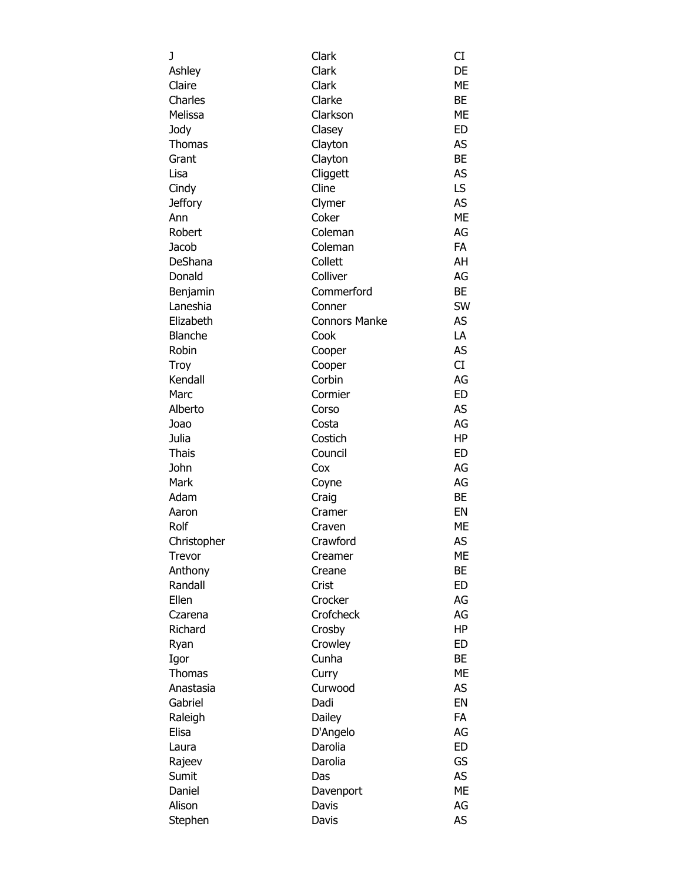| J              | Clark                | CI        |
|----------------|----------------------|-----------|
| Ashley         | Clark                | DE        |
| Claire         | Clark                | ME        |
| Charles        | Clarke               | BE        |
| Melissa        | Clarkson             | ME        |
| Jody           | Clasey               | ED        |
| Thomas         | Clayton              | AS        |
| Grant          | Clayton              | <b>BE</b> |
| Lisa           | Cliggett             | <b>AS</b> |
| Cindy          | Cline                | LS        |
| <b>Jeffory</b> | Clymer               | AS        |
| Ann            | Coker                | <b>ME</b> |
| Robert         | Coleman              | AG        |
|                |                      |           |
| Jacob          | Coleman              | FA        |
| DeShana        | Collett              | AH        |
| Donald         | Colliver             | AG        |
| Benjamin       | Commerford           | BE        |
| Laneshia       | Conner               | SW        |
| Elizabeth      | <b>Connors Manke</b> | <b>AS</b> |
| <b>Blanche</b> | Cook                 | LA        |
| Robin          | Cooper               | AS        |
| Troy           | Cooper               | <b>CI</b> |
| Kendall        | Corbin               | AG        |
| Marc           | Cormier              | <b>ED</b> |
| Alberto        | Corso                | AS        |
| Joao           | Costa                | AG        |
| Julia          | Costich              | HP        |
| <b>Thais</b>   | Council              | <b>ED</b> |
| John           | Cox                  | AG        |
| Mark           | Coyne                | AG        |
| Adam           | Craig                | BE        |
| Aaron          | Cramer               | EN        |
| Rolf           | Craven               | ME        |
| Christopher    | Crawford             | AS        |
| Trevor         | Creamer              | <b>ME</b> |
| Anthony        | Creane               | BE        |
| Randall        | Crist                | ED        |
| Ellen          | Crocker              | AG        |
| Czarena        | Crofcheck            | AG        |
| Richard        | Crosby               | ΗP        |
| Ryan           | Crowley              | ED        |
| Igor           | Cunha                | BE        |
| <b>Thomas</b>  | Curry                | <b>ME</b> |
| Anastasia      | Curwood              | AS        |
| Gabriel        | Dadi                 | EN        |
| Raleigh        | Dailey               | FA        |
| Elisa          | D'Angelo             | AG        |
|                | Darolia              | <b>ED</b> |
| Laura          |                      | GS        |
| Rajeev         | Darolia              | <b>AS</b> |
| Sumit          | Das                  |           |
| Daniel         | Davenport            | ME        |
| Alison         | Davis                | AG        |
| Stephen        | Davis                | AS        |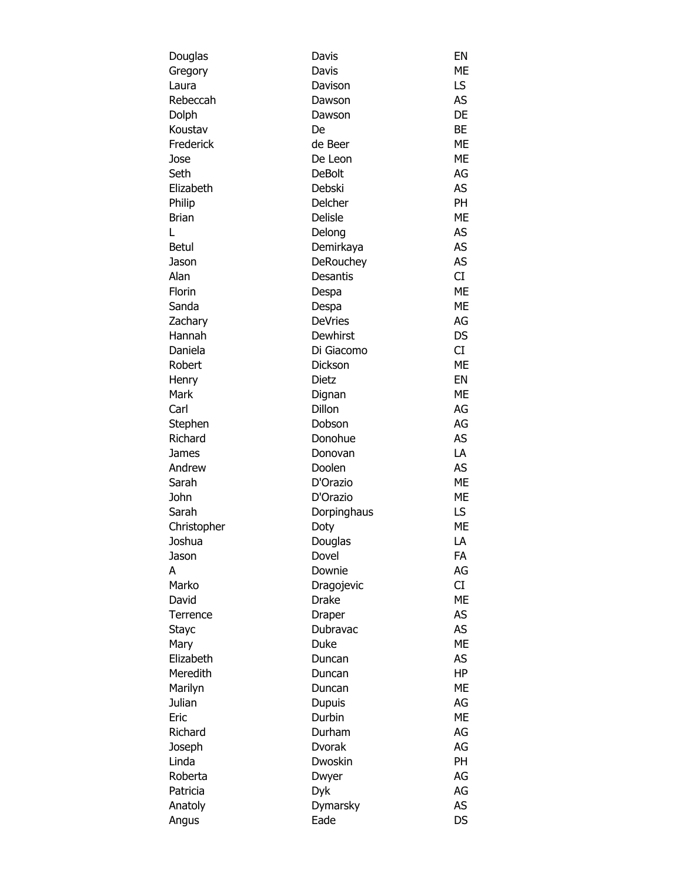| Douglas      | Davis                   | EN        |
|--------------|-------------------------|-----------|
| Gregory      | Davis                   | МE        |
| Laura        | Davison                 | LS        |
| Rebeccah     | Dawson                  | AS        |
| Dolph        | Dawson                  | DE        |
| Koustav      | De                      | BE        |
| Frederick    | de Beer                 | <b>ME</b> |
| Jose         | De Leon                 | <b>ME</b> |
| Seth         | <b>DeBolt</b>           | AG        |
| Elizabeth    | Debski                  | AS        |
| Philip       | Delcher                 | PH        |
| <b>Brian</b> | <b>Delisle</b>          | ME        |
| L            | Delong                  | AS        |
| Betul        | Demirkaya               | AS        |
| Jason        | DeRouchey               | <b>AS</b> |
| Alan         | <b>Desantis</b>         | CI        |
| Florin       | Despa                   | <b>ME</b> |
| Sanda        | Despa                   | <b>ME</b> |
| Zachary      | <b>DeVries</b>          | AG        |
| Hannah       | Dewhirst                | DS        |
| Daniela      | Di Giacomo              | CI        |
| Robert       | Dickson                 | <b>ME</b> |
| Henry        | <b>Dietz</b>            | EN        |
| Mark         | Dignan                  | ME        |
| Carl         | Dillon                  | AG        |
| Stephen      | Dobson                  | AG        |
| Richard      | Donohue                 | AS        |
| James        | Donovan                 | LA        |
| Andrew       | Doolen                  | AS        |
| Sarah        | D'Orazio                | ME        |
| John         | D'Orazio                | ME        |
| Sarah        | Dorpinghaus             | LS.       |
| Christopher  | Doty                    | МE        |
| Joshua       | Douglas                 | LA        |
| Jason        | Dovel                   | FA        |
| A            | Downie                  | AG        |
| Marko        | Dragojevic              | CI        |
| David        | <b>Drake</b>            | ME        |
| Terrence     | Draper                  | AS        |
| <b>Stayc</b> | Dubravac                | <b>AS</b> |
| Mary         | Duke                    | МE        |
| Elizabeth    | Duncan                  | AS        |
| Meredith     | Duncan                  | <b>HP</b> |
| Marilyn      | Duncan                  | ME        |
| Julian       |                         | AG        |
| Eric         | <b>Dupuis</b><br>Durbin | МE        |
|              |                         |           |
| Richard      | Durham                  | AG        |
| Joseph       | <b>Dvorak</b>           | AG        |
| Linda        | Dwoskin                 | <b>PH</b> |
| Roberta      | Dwyer                   | AG        |
| Patricia     | Dyk                     | AG        |
| Anatoly      | Dymarsky                | AS        |
| Angus        | Eade                    | <b>DS</b> |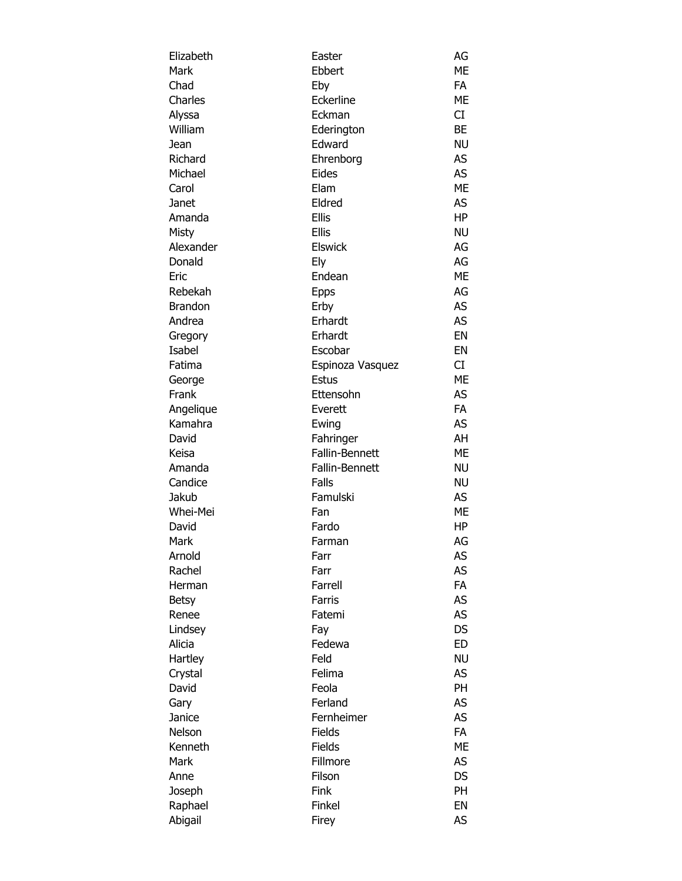| Elizabeth      | Easter           | AG        |
|----------------|------------------|-----------|
| Mark           | Ebbert           | ME        |
| Chad           | Eby              | <b>FA</b> |
| Charles        | Eckerline        | ME        |
| Alyssa         | Eckman           | CI        |
| William        | Ederington       | BE        |
| Jean           | Edward           | <b>NU</b> |
| Richard        | Ehrenborg        | AS        |
| Michael        | Eides            | AS        |
| Carol          | Elam             | <b>ME</b> |
| Janet          | Eldred           | AS        |
| Amanda         | Ellis            | HP        |
| Misty          | <b>Ellis</b>     | <b>NU</b> |
| Alexander      | <b>Elswick</b>   | AG        |
| Donald         |                  | AG        |
|                | Ely              |           |
| Eric           | Endean           | ME        |
| Rebekah        | <b>Epps</b>      | AG        |
| <b>Brandon</b> | Erby             | AS        |
| Andrea         | Erhardt          | AS        |
| Gregory        | Erhardt          | EN        |
| Isabel         | Escobar          | EN        |
| Fatima         | Espinoza Vasquez | CI        |
| George         | <b>Estus</b>     | <b>ME</b> |
| Frank          | Ettensohn        | AS        |
| Angelique      | Everett          | <b>FA</b> |
| Kamahra        | Ewing            | <b>AS</b> |
| David          | Fahringer        | AH        |
| Keisa          | Fallin-Bennett   | <b>ME</b> |
| Amanda         | Fallin-Bennett   | <b>NU</b> |
| Candice        | Falls            | <b>NU</b> |
| Jakub          | Famulski         | AS        |
| Whei-Mei       | Fan              | ME        |
| David          | Fardo            | HP        |
| Mark           | Farman           | AG        |
| Arnold         | Farr             | AS        |
| Rachel         | Farr             | AS        |
| Herman         | Farrell          | FA        |
| <b>Betsy</b>   | Farris           | AS        |
| Renee          | Fatemi           | AS        |
| Lindsey        | Fay              | <b>DS</b> |
| Alicia         | Fedewa           | <b>ED</b> |
| Hartley        | Feld             | <b>NU</b> |
| Crystal        | Felima           | AS        |
| David          | Feola            | PH        |
|                |                  |           |
| Gary           | Ferland          | AS        |
| Janice         | Fernheimer       | AS        |
| Nelson         | Fields           | FA        |
| Kenneth        | Fields           | <b>ME</b> |
| Mark           | Fillmore         | AS        |
| Anne           | Filson           | <b>DS</b> |
| Joseph         | Fink             | PH        |
| Raphael        | Finkel           | EN        |
| Abigail        | Firey            | AS        |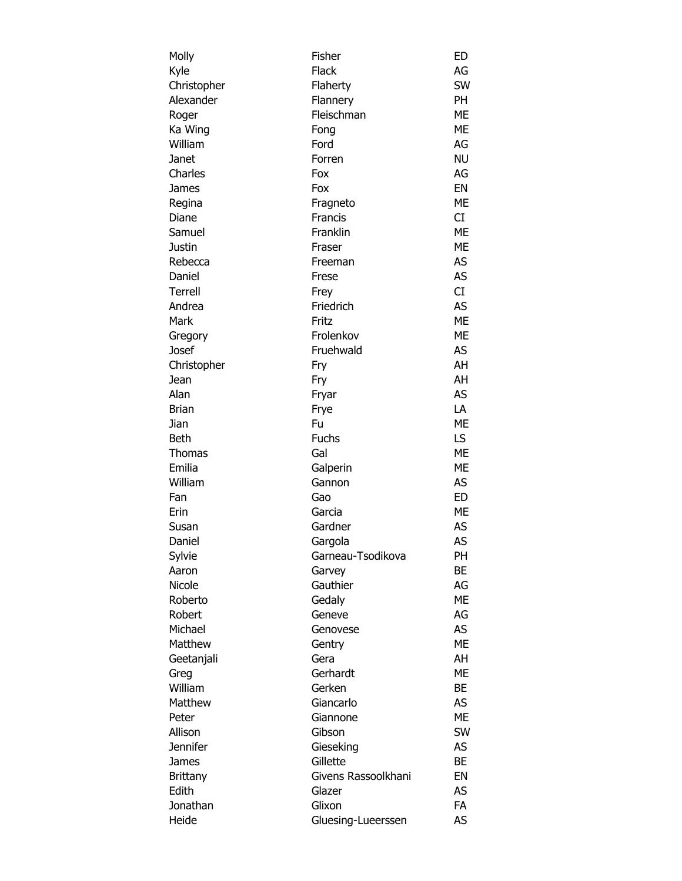| Molly         | Fisher              | ED              |
|---------------|---------------------|-----------------|
| Kyle          | <b>Flack</b>        | AG              |
| Christopher   | Flaherty            | <b>SW</b>       |
| Alexander     | Flannery            | PH              |
| Roger         | Fleischman          | <b>ME</b>       |
| Ka Wing       | Fong                | <b>ME</b>       |
| William       | Ford                | AG              |
| Janet         | Forren              | <b>NU</b>       |
| Charles       | Fox                 | AG              |
| James         | Fox                 | EN              |
| Regina        | Fragneto            | ME              |
| Diane         | Francis             | CI              |
| Samuel        | Franklin            | <b>ME</b>       |
| Justin        | Fraser              | <b>ME</b>       |
| Rebecca       | Freeman             | AS              |
| Daniel        | Frese               | AS              |
| Terrell       | Frey                | CI.             |
| Andrea        | Friedrich           | AS              |
| Mark          | Fritz               | <b>ME</b>       |
| Gregory       | Frolenkov           | <b>ME</b>       |
| Josef         | Fruehwald           | AS              |
| Christopher   | Fry                 | AH              |
| Jean          | Fry                 | AH              |
| Alan          | Fryar               | AS              |
| <b>Brian</b>  | Frye                | LA              |
| Jian          | Fu                  | <b>ME</b>       |
| Beth          | <b>Fuchs</b>        | LS.             |
| <b>Thomas</b> | Gal                 | <b>ME</b>       |
| Emilia        |                     | ME              |
| William       | Galperin<br>Gannon  | AS              |
|               |                     |                 |
| Fan           | Gao                 | ED<br><b>ME</b> |
| Erin          | Garcia              |                 |
| Susan         | Gardner             | AS              |
| Daniel        | Gargola             | <b>AS</b>       |
| Sylvie        | Garneau-Tsodikova   | PH              |
| Aaron         | Garvey              | BE              |
| Nicole        | Gauthier            | AG              |
| Roberto       | Gedaly              | <b>ME</b>       |
| Robert        | Geneve              | AG              |
| Michael       | Genovese            | AS              |
| Matthew       | Gentry              | <b>ME</b>       |
| Geetanjali    | Gera                | AH              |
| Greg          | Gerhardt            | <b>ME</b>       |
| William       | Gerken              | BE              |
| Matthew       | Giancarlo           | AS              |
| Peter         | Giannone            | <b>ME</b>       |
| Allison       | Gibson              | SW              |
| Jennifer      | Gieseking           | AS              |
| James         | Gillette            | <b>BE</b>       |
| Brittany      | Givens Rassoolkhani | EN              |
| Edith         | Glazer              | AS              |
| Jonathan      | Glixon              | <b>FA</b>       |
| Heide         | Gluesing-Lueerssen  | AS              |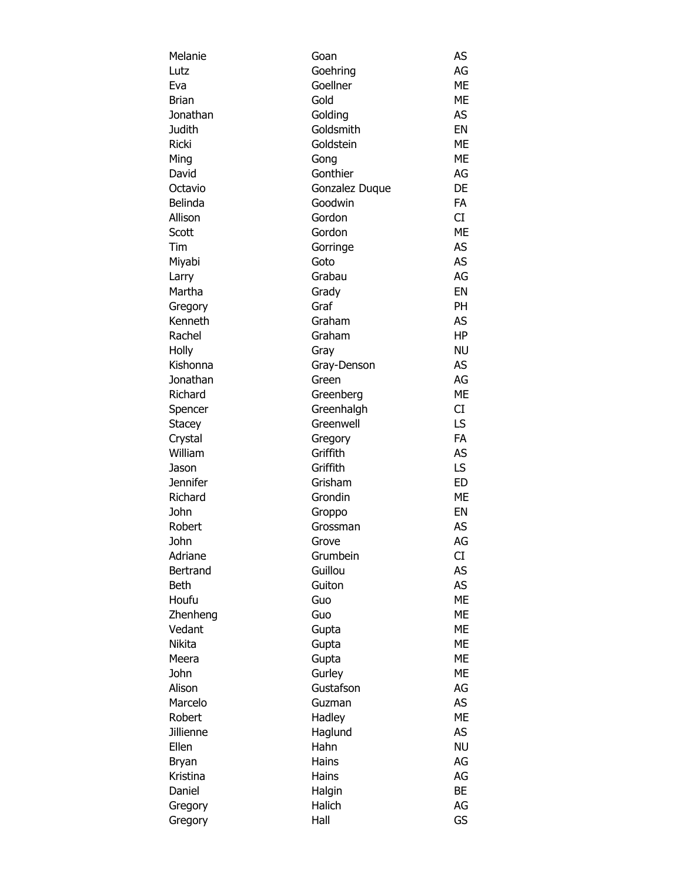| Melanie                  | Goan           | AS        |
|--------------------------|----------------|-----------|
| Lutz                     | Goehring       | AG        |
| Eva                      | Goellner       | ME        |
| <b>Brian</b>             | Gold           | <b>ME</b> |
| Jonathan                 | Golding        | AS        |
| Judith                   | Goldsmith      | EN        |
| <b>Ricki</b>             | Goldstein      | <b>ME</b> |
| Ming                     | Gong           | <b>ME</b> |
| David                    | Gonthier       | AG        |
| Octavio                  | Gonzalez Duque | DE        |
| Belinda                  | Goodwin        | FA        |
| Allison                  | Gordon         | CI        |
| Scott                    | Gordon         | <b>ME</b> |
| Tim                      | Gorringe       | <b>AS</b> |
| Miyabi                   | Goto           | AS        |
| Larry                    | Grabau         | AG        |
| Martha                   | Grady          | EN        |
| Gregory                  | Graf           | PH        |
| Kenneth                  | Graham         | AS        |
| Rachel                   | Graham         | <b>HP</b> |
| Holly                    | Gray           | <b>NU</b> |
| Kishonna                 | Gray-Denson    | AS        |
| Jonathan                 | Green          | AG        |
| Richard                  | Greenberg      | <b>ME</b> |
| Spencer                  | Greenhalgh     | CI        |
| Stacey                   | Greenwell      | LS.       |
| Crystal                  | Gregory        | <b>FA</b> |
| William                  | Griffith       | AS        |
|                          | Griffith       | LS.       |
| Jason<br><b>Jennifer</b> | Grisham        | <b>ED</b> |
| Richard                  | Grondin        | <b>ME</b> |
|                          |                |           |
| John                     | Groppo         | EN        |
| Robert                   | Grossman       | AS        |
| John                     | Grove          | AG        |
| Adriane                  | Grumbein       | CI        |
| <b>Bertrand</b>          | Guillou        | AS        |
| Beth                     | Guiton         | AS        |
| Houfu                    | Guo            | <b>ME</b> |
| Zhenheng                 | Guo            | <b>ME</b> |
| Vedant                   | Gupta          | <b>ME</b> |
| Nikita                   | Gupta          | ME        |
| Meera                    | Gupta          | <b>ME</b> |
| John                     | Gurley         | <b>ME</b> |
| Alison                   | Gustafson      | AG        |
| Marcelo                  | Guzman         | AS        |
| Robert                   | Hadley         | <b>ME</b> |
| Jillienne                | Haglund        | AS        |
| Ellen                    | Hahn           | <b>NU</b> |
| Bryan                    | Hains          | AG        |
| Kristina                 | Hains          | AG        |
| Daniel                   | Halgin         | <b>BE</b> |
| Gregory                  | Halich         | AG        |
| Gregory                  | Hall           | GS        |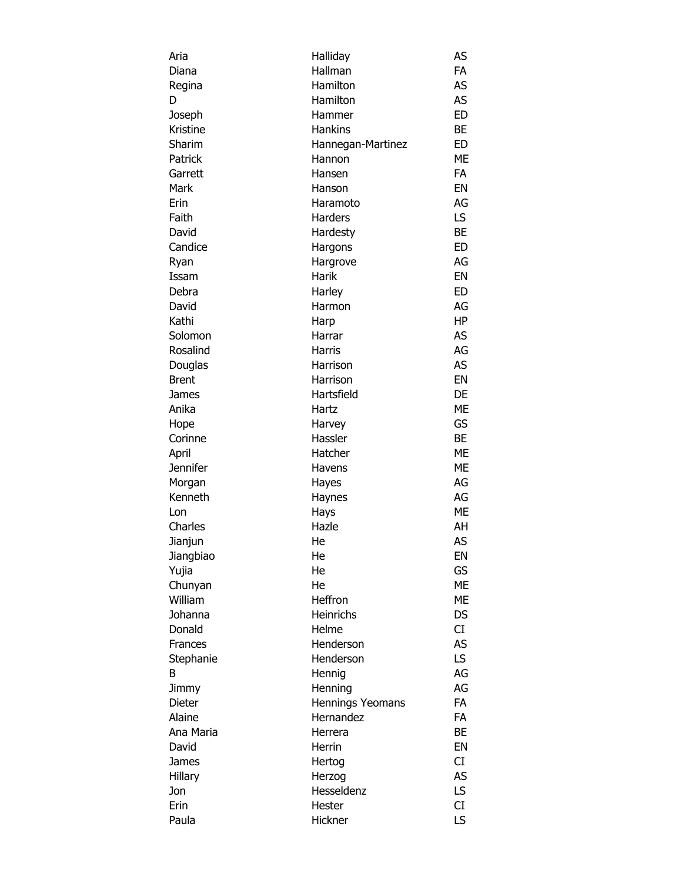| Aria      | Halliday          | AS        |
|-----------|-------------------|-----------|
| Diana     | Hallman           | <b>FA</b> |
| Regina    | Hamilton          | AS        |
| D         | Hamilton          | AS        |
| Joseph    | Hammer            | <b>ED</b> |
| Kristine  | <b>Hankins</b>    | <b>BE</b> |
| Sharim    | Hannegan-Martinez | ED        |
| Patrick   | Hannon            | <b>ME</b> |
| Garrett   | Hansen            | <b>FA</b> |
| Mark      | Hanson            | EN        |
| Erin      | Haramoto          | AG        |
| Faith     | Harders           | LS.       |
| David     | Hardesty          | <b>BE</b> |
| Candice   | Hargons           | <b>ED</b> |
| Ryan      | Hargrove          | AG        |
| Issam     | <b>Harik</b>      | EN        |
|           |                   | ED        |
| Debra     | Harley            |           |
| David     | Harmon            | AG        |
| Kathi     | Harp              | <b>HP</b> |
| Solomon   | Harrar            | AS        |
| Rosalind  | <b>Harris</b>     | AG        |
| Douglas   | Harrison          | AS        |
| Brent     | Harrison          | EN        |
| James     | Hartsfield        | DE        |
| Anika     | Hartz             | <b>ME</b> |
| Hope      | Harvey            | GS        |
| Corinne   | Hassler           | <b>BE</b> |
| April     | Hatcher           | <b>ME</b> |
| Jennifer  | Havens            | <b>ME</b> |
| Morgan    | Hayes             | AG        |
| Kenneth   | Haynes            | AG        |
| Lon       | Hays              | <b>ME</b> |
| Charles   | Hazle             | AH        |
| Jianjun   | He                | AS        |
| Jiangbiao | He                | EN        |
| Yujia     | He                | GS        |
| Chunyan   | He                | <b>ME</b> |
| William   | Heffron           | <b>ME</b> |
| Johanna   | Heinrichs         | <b>DS</b> |
| Donald    | Helme             | CI        |
| Frances   | Henderson         | AS        |
| Stephanie | Henderson         | LS.       |
| В         | Hennig            | AG        |
| Jimmy     | Henning           | AG        |
| Dieter    | Hennings Yeomans  | <b>FA</b> |
| Alaine    | Hernandez         | <b>FA</b> |
| Ana Maria | Herrera           | <b>BE</b> |
| David     | Herrin            | EN        |
| James     |                   | CI        |
|           | Hertog            | AS        |
| Hillary   | Herzog            |           |
| Jon       | Hesseldenz        | LS.       |
| Erin      | Hester            | CI        |
| Paula     | Hickner           | LS.       |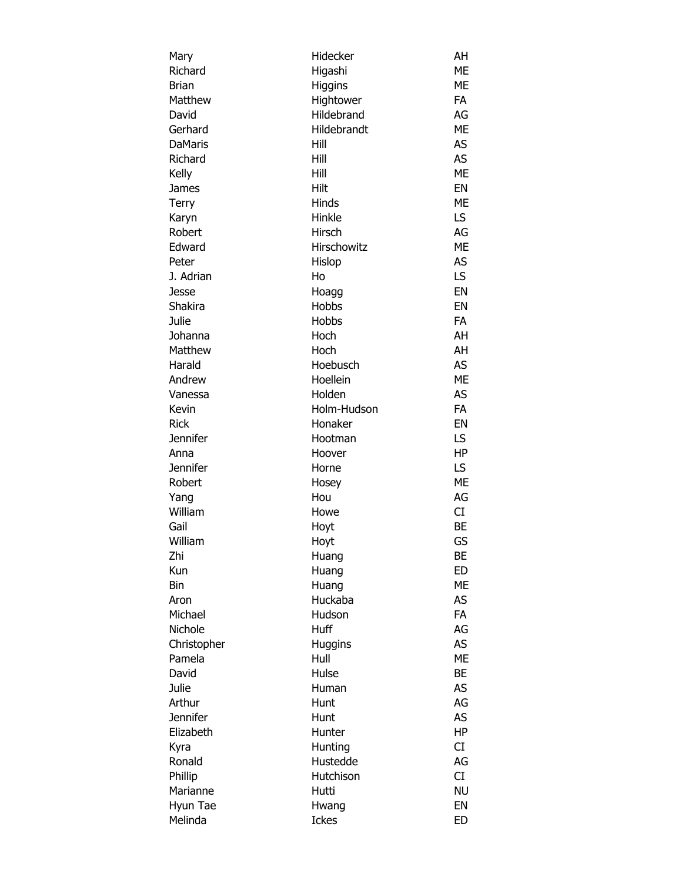| Mary            | Hidecker       | AH        |
|-----------------|----------------|-----------|
| Richard         | Higashi        | ME        |
| <b>Brian</b>    | Higgins        | ME        |
| Matthew         | Hightower      | FA        |
| David           | Hildebrand     | AG        |
| Gerhard         | Hildebrandt    | ME        |
| <b>DaMaris</b>  | Hill           | AS        |
| Richard         | Hill           | <b>AS</b> |
| Kelly           | Hill           | <b>ME</b> |
| <b>James</b>    | Hilt           | EN        |
| Terry           | Hinds          | ME        |
| Karyn           | Hinkle         | LS        |
| Robert          | Hirsch         | AG        |
| Edward          | Hirschowitz    | <b>ME</b> |
| Peter           | Hislop         | <b>AS</b> |
| J. Adrian       | Ho             | LS        |
|                 |                | EN        |
| Jesse           | Hoagg          |           |
| Shakira         | Hobbs          | EN        |
| Julie           | Hobbs          | <b>FA</b> |
| Johanna         | Hoch           | AH        |
| Matthew         | Hoch           | AH        |
| Harald          | Hoebusch       | AS        |
| Andrew          | Hoellein       | <b>ME</b> |
| Vanessa         | Holden         | AS        |
| Kevin           | Holm-Hudson    | FA        |
| <b>Rick</b>     | Honaker        | EN        |
| <b>Jennifer</b> | Hootman        | LS        |
| Anna            | Hoover         | <b>HP</b> |
| <b>Jennifer</b> | Horne          | LS        |
| Robert          | Hosey          | <b>ME</b> |
| Yang            | Hou            | AG        |
| William         | Howe           | CI        |
| Gail            | Hoyt           | <b>BE</b> |
| William         | Hoyt           | GS        |
| Zhi             | Huang          | BE        |
| Kun             | Huang          | <b>ED</b> |
| Bin             | Huang          | ME        |
| Aron            | Huckaba        | AS        |
| Michael         | Hudson         | <b>FA</b> |
| Nichole         | Huff           | AG        |
| Christopher     | <b>Huggins</b> | <b>AS</b> |
| Pamela          | Hull           | <b>ME</b> |
| David           | Hulse          | BE        |
| Julie           | Human          | AS        |
| Arthur          |                | AG        |
| <b>Jennifer</b> | Hunt           |           |
|                 | Hunt           | <b>AS</b> |
| Elizabeth       | Hunter         | HP        |
| Kyra            | Hunting        | CI        |
| Ronald          | Hustedde       | AG        |
| Phillip         | Hutchison      | CI        |
| Marianne        | Hutti          | <b>NU</b> |
| Hyun Tae        | Hwang          | EN        |
| Melinda         | <b>Ickes</b>   | ED        |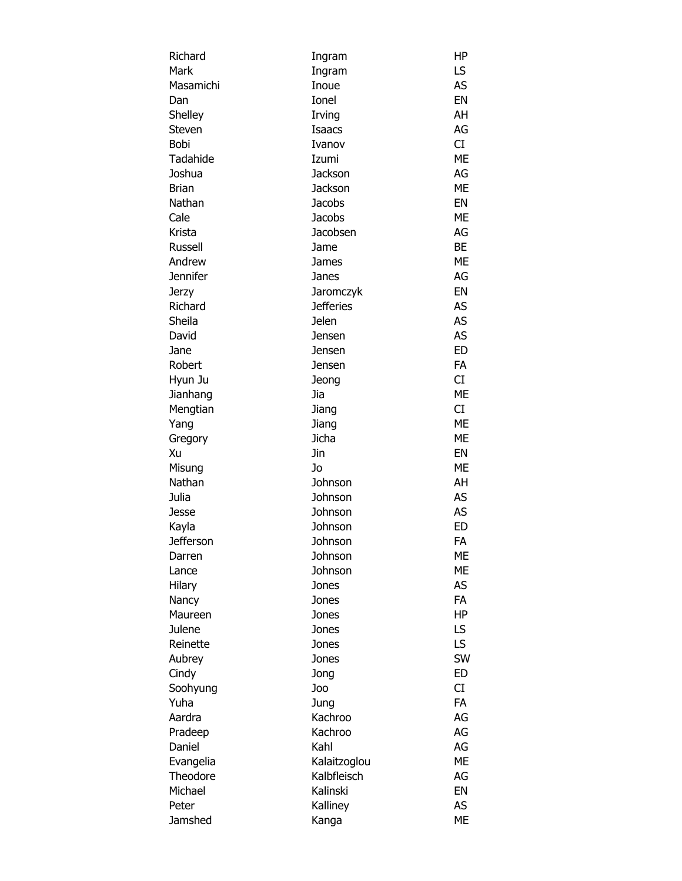| Richard          | Ingram           | ΗP        |
|------------------|------------------|-----------|
| Mark             | Ingram           | LS        |
| Masamichi        | Inoue            | AS        |
| Dan              | Ionel            | EN        |
| Shelley          | Irving           | AH        |
| Steven           | Isaacs           | AG        |
| <b>Bobi</b>      | Ivanov           | CI        |
| Tadahide         | Izumi            | <b>ME</b> |
| Joshua           | Jackson          | AG        |
| <b>Brian</b>     | Jackson          | <b>ME</b> |
| Nathan           | <b>Jacobs</b>    | EN        |
| Cale             | <b>Jacobs</b>    | <b>ME</b> |
| Krista           | Jacobsen         | AG        |
| Russell          | Jame             | BE        |
| Andrew           | James            | <b>ME</b> |
| <b>Jennifer</b>  | Janes            | AG        |
| <b>Jerzy</b>     | Jaromczyk        | EN        |
| Richard          | <b>Jefferies</b> | AS        |
| Sheila           | <b>Jelen</b>     | AS        |
| David            | Jensen           | <b>AS</b> |
| Jane             | Jensen           | <b>ED</b> |
| Robert           | Jensen           | FA        |
| Hyun Ju          | Jeong            | CI        |
| Jianhang         | Jia              | <b>ME</b> |
| Mengtian         | Jiang            | CI        |
| Yang             | Jiang            | <b>ME</b> |
| Gregory          | Jicha            | <b>ME</b> |
| Xu               | Jin              | EN        |
| Misung           | Jo               | <b>ME</b> |
| Nathan           | Johnson          | AH        |
| Julia            | Johnson          | AS        |
| Jesse            | Johnson          | <b>AS</b> |
| Kayla            | Johnson          | <b>ED</b> |
| <b>Jefferson</b> | Johnson          | FA        |
| Darren           | Johnson          | ME        |
| Lance            | Johnson          | МE        |
| Hilary           | Jones            | AS        |
| Nancy            | Jones            | <b>FA</b> |
| Maureen          | Jones            | HP        |
| Julene           | Jones            | LS        |
| Reinette         | Jones            | LS        |
| Aubrey           | Jones            | SW        |
| Cindy            | Jong             | ED        |
| Soohyung         | Joo              | CI        |
| Yuha             | Jung             | <b>FA</b> |
| Aardra           | Kachroo          | AG        |
| Pradeep          | Kachroo          | AG        |
| Daniel           | Kahl             | AG        |
| Evangelia        | Kalaitzoglou     | <b>ME</b> |
| Theodore         | Kalbfleisch      | AG        |
| Michael          | Kalinski         | EN        |
| Peter            | Kalliney         | AS        |
| Jamshed          | Kanga            | МE        |
|                  |                  |           |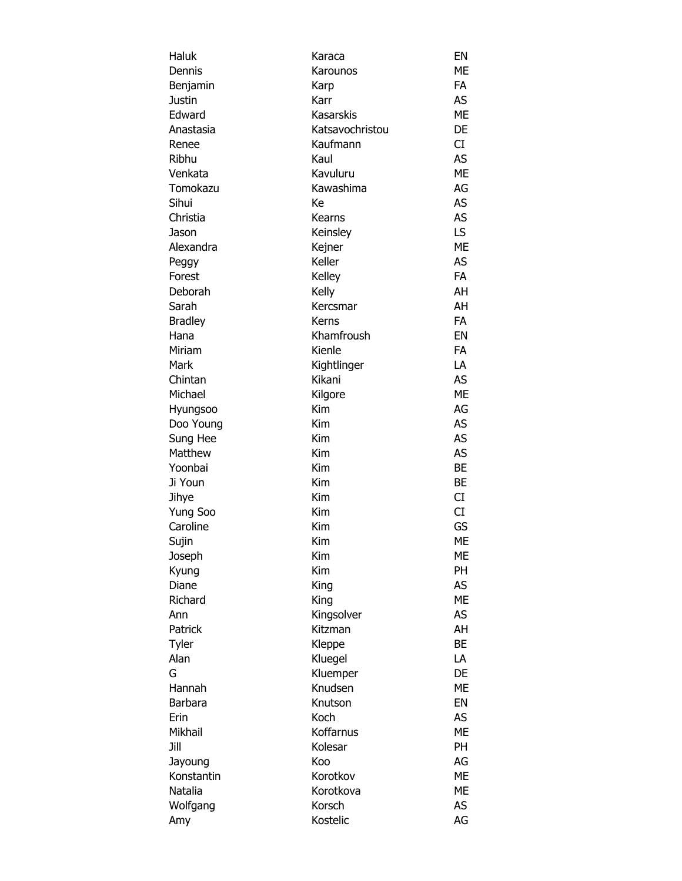|      | Haluk           | Karaca           | EN        |
|------|-----------------|------------------|-----------|
|      | Dennis          | Karounos         | ME        |
|      | Benjamin        | Karp             | <b>FA</b> |
|      | <b>Justin</b>   | Karr             | AS        |
|      | Edward          | <b>Kasarskis</b> | ME        |
|      | Anastasia       | Katsavochristou  | DE        |
|      | Renee           | Kaufmann         | CI        |
|      | Ribhu           | Kaul             | AS        |
|      | Venkata         | Kavuluru         | <b>ME</b> |
|      | Tomokazu        | Kawashima        | AG        |
|      | Sihui           | Кe               | AS        |
|      | Christia        | Kearns           | AS        |
|      | Jason           | Keinsley         | LS.       |
|      | Alexandra       | Kejner           | <b>ME</b> |
|      |                 | Keller           | AS        |
|      | Peggy<br>Forest | Kelley           | <b>FA</b> |
|      | Deborah         |                  | AH        |
|      |                 | Kelly            |           |
|      | Sarah           | Kercsmar         | AH        |
|      | <b>Bradley</b>  | Kerns            | <b>FA</b> |
|      | Hana            | Khamfroush       | EN        |
|      | Miriam          | Kienle           | FA        |
|      | Mark            | Kightlinger      | LA        |
|      | Chintan         | Kikani           | <b>AS</b> |
|      | Michael         | Kilgore          | <b>ME</b> |
|      | Hyungsoo        | Kim              | AG        |
|      | Doo Young       | Kim              | AS        |
|      | Sung Hee        | Kim              | AS        |
|      | Matthew         | Kim              | <b>AS</b> |
|      | Yoonbai         | Kim              | <b>BE</b> |
|      | Ji Youn         | Kim              | <b>BE</b> |
|      | Jihye           | Kim              | CI        |
|      | Yung Soo        | Kim              | CI        |
|      | Caroline        | Kim              | GS        |
|      | Sujin           | Kim              | ME        |
|      | Joseph          | Kim              | МE        |
|      | Kyung           | Kim              | <b>PH</b> |
|      | Diane           | King             | AS        |
|      | Richard         | King             | <b>ME</b> |
|      | Ann             | Kingsolver       | AS        |
|      | Patrick         | Kitzman          | AH        |
|      | Tyler           | Kleppe           | <b>BE</b> |
|      | Alan            | Kluegel          | LA        |
| G    |                 | Kluemper         | DE        |
|      | Hannah          | Knudsen          | ME        |
|      | Barbara         | Knutson          | EN        |
|      | Erin            | Koch             | AS        |
|      | Mikhail         | Koffarnus        | <b>ME</b> |
| Jill |                 | Kolesar          | PH        |
|      |                 | Koo              | AG        |
|      | Jayoung         |                  |           |
|      | Konstantin      | Korotkov         | ME        |
|      | Natalia         | Korotkova        | ME        |
|      | Wolfgang        | Korsch           | AS        |
|      | Amy             | Kostelic         | AG        |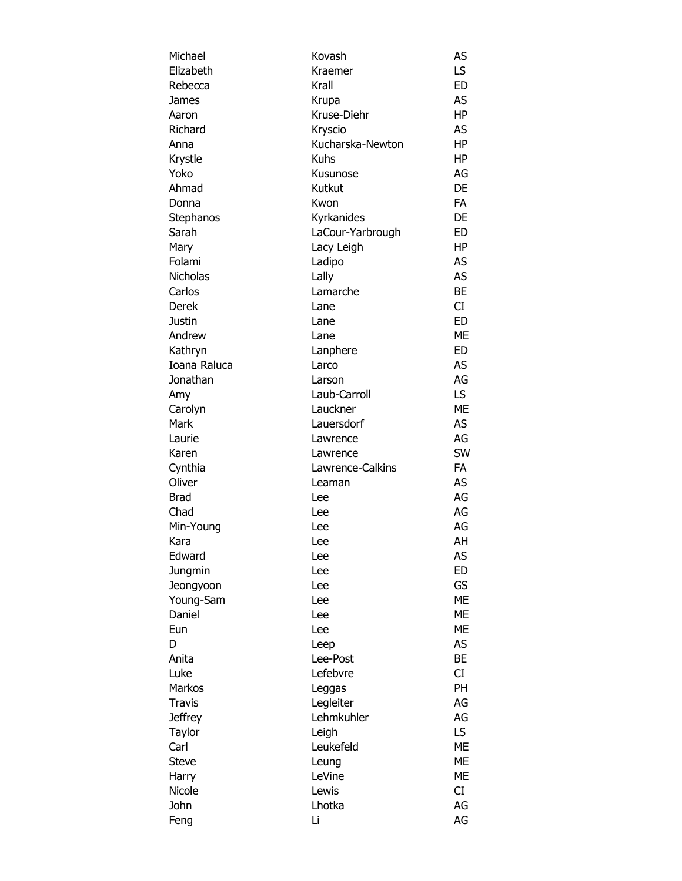| Michael         | Kovash           | AS        |
|-----------------|------------------|-----------|
| Elizabeth       | Kraemer          | LS        |
| Rebecca         | Krall            | <b>ED</b> |
| James           | Krupa            | <b>AS</b> |
| Aaron           | Kruse-Diehr      | <b>HP</b> |
| Richard         | Kryscio          | AS        |
| Anna            | Kucharska-Newton | HP        |
| Krystle         | <b>Kuhs</b>      | HP        |
| Yoko            | Kusunose         | AG        |
| Ahmad           | Kutkut           | DE        |
| Donna           | Kwon             | <b>FA</b> |
| Stephanos       | Kyrkanides       | DE        |
| Sarah           | LaCour-Yarbrough | <b>ED</b> |
| Mary            | Lacy Leigh       | HP        |
| Folami          | Ladipo           | AS        |
| <b>Nicholas</b> | Lally            | AS        |
| Carlos          | Lamarche         | BE        |
| <b>Derek</b>    | Lane             | CI        |
| <b>Justin</b>   | Lane             | <b>ED</b> |
| Andrew          | Lane             | <b>ME</b> |
| Kathryn         |                  | <b>ED</b> |
| Ioana Raluca    | Lanphere         | AS        |
|                 | Larco            | AG        |
| Jonathan        | Larson           |           |
| Amy             | Laub-Carroll     | LS.       |
| Carolyn         | Lauckner         | <b>ME</b> |
| Mark            | Lauersdorf       | AS        |
| Laurie          | Lawrence         | AG        |
| Karen           | Lawrence         | SW        |
| Cynthia         | Lawrence-Calkins | <b>FA</b> |
| Oliver          | Leaman           | AS        |
| <b>Brad</b>     | Lee              | AG        |
| Chad            | Lee              | AG        |
| Min-Young       | Lee              | AG        |
| Kara            | Lee              | AH        |
| Edward          | Lee              | AS        |
| Jungmin         | Lee              | <b>ED</b> |
| Jeongyoon       | Lee              | GS        |
| Young-Sam       | Lee              | <b>ME</b> |
| Daniel          | Lee              | ME        |
| Eun             | Lee              | <b>ME</b> |
| D               | Leep             | AS        |
| Anita           | Lee-Post         | <b>BE</b> |
| Luke            | Lefebvre         | CI        |
| Markos          | Leggas           | <b>PH</b> |
| <b>Travis</b>   | Legleiter        | AG        |
| <b>Jeffrey</b>  | Lehmkuhler       | AG        |
| Taylor          | Leigh            | LS.       |
| Carl            | Leukefeld        | ME        |
| <b>Steve</b>    | Leung            | ME        |
| Harry           | LeVine           | ME        |
| Nicole          | Lewis            | CI        |
| John            | Lhotka           | AG        |
| Feng            | Li               | AG        |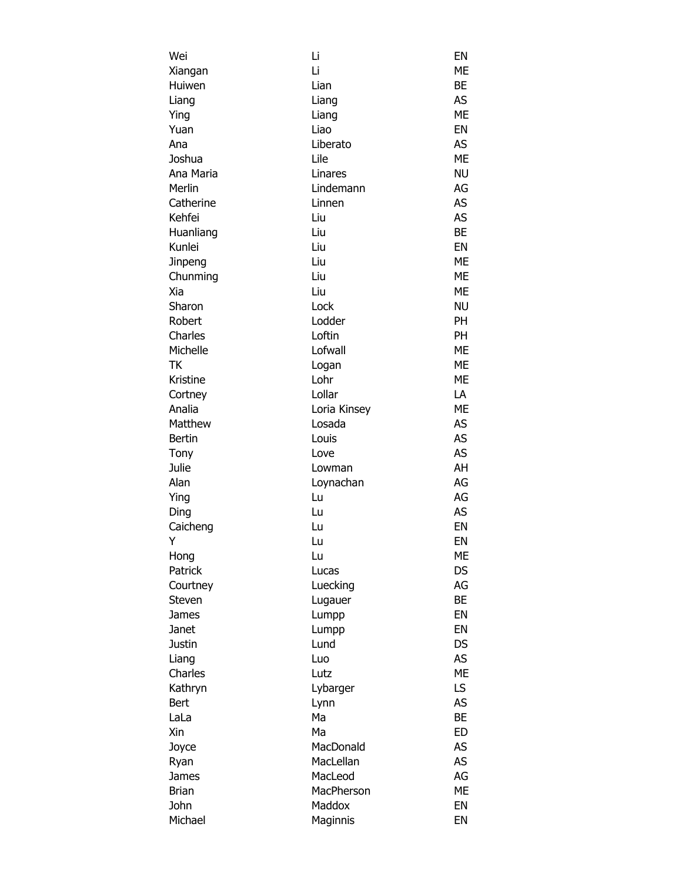| Wei           | Li           | EN        |
|---------------|--------------|-----------|
| Xiangan       | Li           | <b>ME</b> |
| Huiwen        | Lian         | <b>BE</b> |
| Liang         | Liang        | <b>AS</b> |
| Ying          | Liang        | <b>ME</b> |
| Yuan          | Liao         | EN        |
| Ana           | Liberato     | AS        |
| Joshua        | Lile         | <b>ME</b> |
| Ana Maria     | Linares      | <b>NU</b> |
| Merlin        | Lindemann    | AG        |
| Catherine     | Linnen       | <b>AS</b> |
| Kehfei        | Liu          | <b>AS</b> |
| Huanliang     | Liu          | <b>BE</b> |
| Kunlei        | Liu          | EN        |
| Jinpeng       | Liu          | <b>ME</b> |
| Chunming      | Liu          | <b>ME</b> |
| Xia           | Liu          | <b>ME</b> |
| Sharon        | Lock         | <b>NU</b> |
| Robert        | Lodder       | <b>PH</b> |
| Charles       | Loftin       | <b>PH</b> |
| Michelle      | Lofwall      | ME        |
| ТK            | Logan        | <b>ME</b> |
| Kristine      | Lohr         | <b>ME</b> |
| Cortney       | Lollar       | LA        |
| Analia        | Loria Kinsey | <b>ME</b> |
| Matthew       | Losada       | <b>AS</b> |
| <b>Bertin</b> | Louis        | AS        |
| Tony          | Love         | AS        |
| Julie         | Lowman       | AH        |
| Alan          | Loynachan    | AG        |
| Ying          | Lu           | AG        |
|               |              | <b>AS</b> |
| Ding          | Lu           | EN        |
| Caicheng      | Lu           | EN        |
| Y             | Lu           |           |
| Hong          | Lu           | ME        |
| Patrick       | Lucas        | DS        |
| Courtney      | Luecking     | AG        |
| Steven        | Lugauer      | <b>BE</b> |
| James         | Lumpp        | EN        |
| Janet         | Lumpp        | EN        |
| Justin        | Lund         | DS        |
| Liang         | Luo          | AS        |
| Charles       | Lutz         | <b>ME</b> |
| Kathryn       | Lybarger     | LS        |
| Bert          | Lynn         | <b>AS</b> |
| LaLa          | Ma           | <b>BE</b> |
| Xin           | Ma           | <b>ED</b> |
| Joyce         | MacDonald    | AS        |
| Ryan          | MacLellan    | AS        |
| James         | MacLeod      | AG        |
| <b>Brian</b>  | MacPherson   | ME        |
| John          | Maddox       | EN        |
| Michael       | Maginnis     | EN        |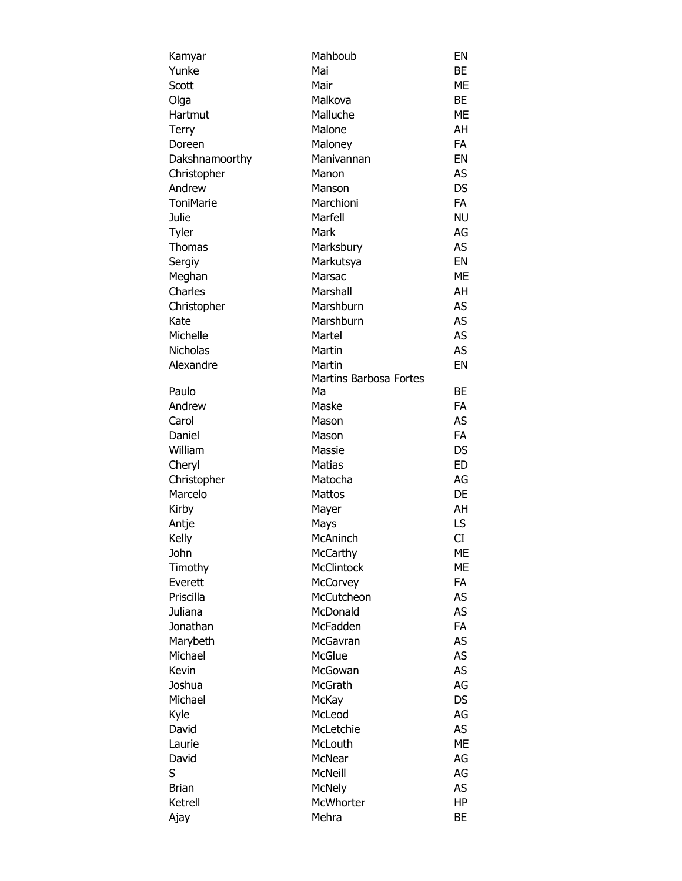| Kamyar           | Mahboub                       | EN        |
|------------------|-------------------------------|-----------|
| Yunke            | Mai                           | BE        |
| Scott            | Mair                          | ME        |
| Olga             | Malkova                       | <b>BE</b> |
| Hartmut          | Malluche                      | ME        |
| Terry            | Malone                        | AH        |
| Doreen           | Maloney                       | FA        |
| Dakshnamoorthy   | Manivannan                    | EN        |
| Christopher      | Manon                         | AS        |
| Andrew           | Manson                        | <b>DS</b> |
| <b>ToniMarie</b> | Marchioni                     | <b>FA</b> |
| Julie            | Marfell                       | <b>NU</b> |
|                  | Mark                          |           |
| Tyler            |                               | AG        |
| Thomas           | Marksbury                     | AS        |
| Sergiy           | Markutsya                     | EN        |
| Meghan           | Marsac                        | ME        |
| Charles          | Marshall                      | AH        |
| Christopher      | Marshburn                     | AS        |
| Kate             | Marshburn                     | <b>AS</b> |
| Michelle         | Martel                        | <b>AS</b> |
| <b>Nicholas</b>  | Martin                        | <b>AS</b> |
| Alexandre        | Martin                        | EN        |
|                  | <b>Martins Barbosa Fortes</b> |           |
| Paulo            | Ma                            | BE        |
| Andrew           | Maske                         | <b>FA</b> |
| Carol            | Mason                         | AS        |
| Daniel           | Mason                         | FA        |
| William          | Massie                        | DS        |
| Cheryl           | <b>Matias</b>                 | <b>ED</b> |
| Christopher      | Matocha                       | AG        |
| Marcelo          | <b>Mattos</b>                 | DE        |
| Kirby            | Mayer                         | AH        |
| Antje            | Mays                          | LS        |
| Kelly            | McAninch                      | CI        |
| John             | McCarthy                      | МE        |
| Timothy          | McClintock                    | МE        |
| Everett          | <b>McCorvey</b>               | <b>FA</b> |
| Priscilla        |                               |           |
|                  | McCutcheon                    | AS        |
| Juliana          | McDonald                      | <b>AS</b> |
| Jonathan         | McFadden                      | <b>FA</b> |
| Marybeth         | McGavran                      | <b>AS</b> |
| Michael          | McGlue                        | <b>AS</b> |
| Kevin            | McGowan                       | <b>AS</b> |
| Joshua           | <b>McGrath</b>                | AG        |
| Michael          | <b>McKay</b>                  | <b>DS</b> |
| Kyle             | McLeod                        | AG        |
| David            | McLetchie                     | AS        |
| Laurie           | McLouth                       | ME        |
| David            | McNear                        | AG        |
| S                | <b>McNeill</b>                | AG        |
| <b>Brian</b>     | <b>McNely</b>                 | AS        |
| Ketrell          | McWhorter                     | HP        |
| Ajay             | Mehra                         | BE        |
|                  |                               |           |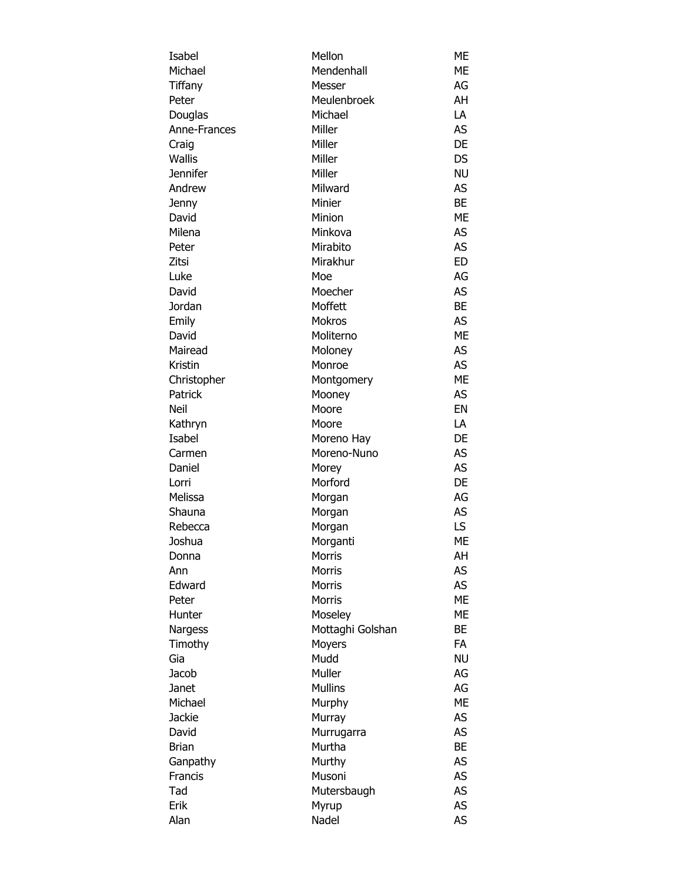| Isabel          | Mellon           | ME        |
|-----------------|------------------|-----------|
| Michael         | Mendenhall       | ME        |
| Tiffany         | Messer           | AG        |
| Peter           | Meulenbroek      | AH        |
| Douglas         | Michael          | LA        |
| Anne-Frances    | Miller           | AS        |
| Craig           | Miller           | DE        |
| <b>Wallis</b>   | Miller           | DS        |
| <b>Jennifer</b> | Miller           | <b>NU</b> |
| Andrew          | Milward          | <b>AS</b> |
| Jenny           | Minier           | BE        |
| David           | Minion           | <b>ME</b> |
| Milena          | Minkova          | AS        |
|                 |                  |           |
| Peter           | Mirabito         | AS        |
| Zitsi           | Mirakhur         | <b>ED</b> |
| Luke            | Moe              | AG        |
| David           | Moecher          | AS        |
| Jordan          | Moffett          | BE        |
| Emily           | <b>Mokros</b>    | AS        |
| David           | Moliterno        | <b>ME</b> |
| Mairead         | Moloney          | AS        |
| Kristin         | Monroe           | <b>AS</b> |
| Christopher     | Montgomery       | <b>ME</b> |
| Patrick         | Mooney           | AS        |
| Neil            | Moore            | EN        |
| Kathryn         | Moore            | LA        |
| Isabel          | Moreno Hay       | DE        |
| Carmen          | Moreno-Nuno      | AS        |
| Daniel          | Morey            | AS        |
| Lorri           | Morford          | DE        |
| Melissa         | Morgan           | AG        |
| Shauna          | Morgan           | <b>AS</b> |
| Rebecca         | Morgan           | LS        |
| Joshua          | Morganti         | ME        |
| Donna           | <b>Morris</b>    | AΗ        |
| Ann             | <b>Morris</b>    | AS        |
| Edward          | <b>Morris</b>    | AS        |
| Peter           | <b>Morris</b>    | <b>ME</b> |
| Hunter          | Moseley          | ME        |
| Nargess         | Mottaghi Golshan | BE        |
|                 |                  | <b>FA</b> |
| Timothy         | Moyers<br>Mudd   | <b>NU</b> |
| Gia             |                  |           |
| Jacob           | Muller           | AG        |
| Janet           | <b>Mullins</b>   | AG        |
| Michael         | Murphy           | <b>ME</b> |
| <b>Jackie</b>   | Murray           | AS        |
| David           | Murrugarra       | AS        |
| <b>Brian</b>    | Murtha           | BE        |
| Ganpathy        | Murthy           | <b>AS</b> |
| Francis         | Musoni           | <b>AS</b> |
| Tad             | Mutersbaugh      | <b>AS</b> |
| Erik            | Myrup            | <b>AS</b> |
| Alan            | Nadel            | <b>AS</b> |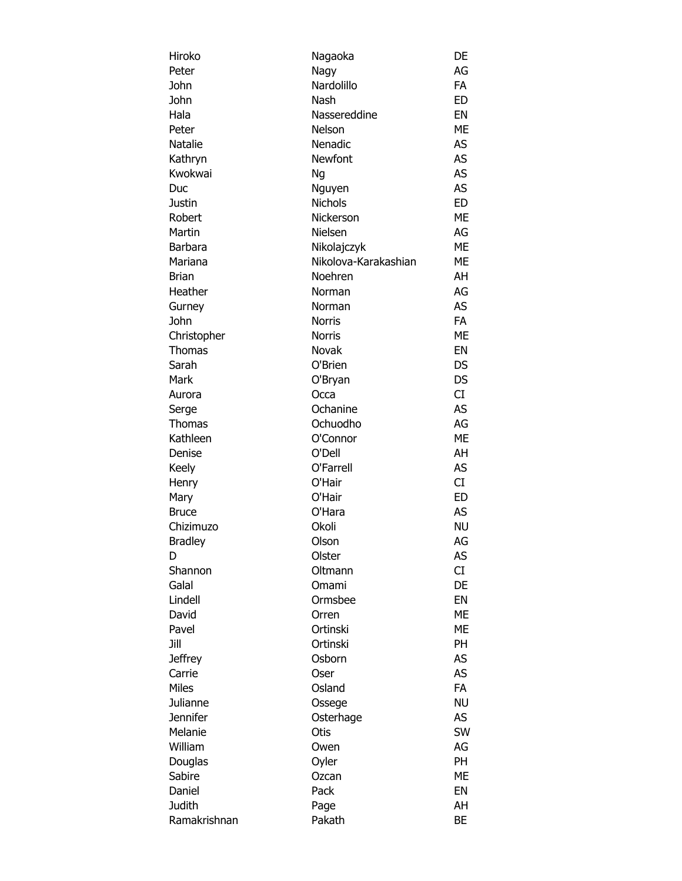| Hiroko          | Nagaoka              | DE        |
|-----------------|----------------------|-----------|
| Peter           | Nagy                 | AG        |
| John            | Nardolillo           | <b>FA</b> |
| John            | Nash                 | <b>ED</b> |
| Hala            | Nassereddine         | EN        |
| Peter           | Nelson               | ME        |
| Natalie         | Nenadic              | AS        |
| Kathryn         | Newfont              | <b>AS</b> |
| Kwokwai         | Ng                   | AS        |
| Duc             | Nguyen               | <b>AS</b> |
| Justin          | <b>Nichols</b>       | <b>ED</b> |
| Robert          | Nickerson            | <b>ME</b> |
| Martin          | Nielsen              | AG        |
|                 |                      | ME        |
| <b>Barbara</b>  | Nikolajczyk          |           |
| Mariana         | Nikolova-Karakashian | ME        |
| Brian           | Noehren              | AH        |
| Heather         | Norman               | AG        |
| Gurney          | Norman               | <b>AS</b> |
| John            | <b>Norris</b>        | <b>FA</b> |
| Christopher     | <b>Norris</b>        | <b>ME</b> |
| Thomas          | Novak                | EN        |
| Sarah           | O'Brien              | DS        |
| Mark            | O'Bryan              | <b>DS</b> |
| Aurora          | Occa                 | CI        |
| Serge           | Ochanine             | <b>AS</b> |
| Thomas          | Ochuodho             | AG        |
| Kathleen        | O'Connor             | ME        |
| Denise          | O'Dell               | AH        |
| Keely           | O'Farrell            | AS        |
| Henry           | O'Hair               | CI        |
| Mary            | O'Hair               | <b>ED</b> |
| <b>Bruce</b>    | O'Hara               | AS        |
| Chizimuzo       | Okoli                | <b>NU</b> |
| <b>Bradley</b>  | Olson                | AG        |
| D               | Olster               | AS        |
| Shannon         | Oltmann              | CI        |
| Galal           | Omami                | DE        |
|                 |                      | EN        |
| Lindell         | Ormsbee              |           |
| David           | Orren                | <b>ME</b> |
| Pavel           | Ortinski             | <b>ME</b> |
| Jill            | Ortinski             | PH        |
| <b>Jeffrey</b>  | Osborn               | AS        |
| Carrie          | Oser                 | AS        |
| <b>Miles</b>    | Osland               | <b>FA</b> |
| Julianne        | Ossege               | <b>NU</b> |
| <b>Jennifer</b> | Osterhage            | AS        |
| Melanie         | Otis                 | SW        |
| William         | Owen                 | AG        |
| Douglas         | Oyler                | PH        |
| Sabire          | Ozcan                | <b>ME</b> |
| Daniel          | Pack                 | EN        |
| <b>Judith</b>   | Page                 | AH        |
| Ramakrishnan    | Pakath               | ВE        |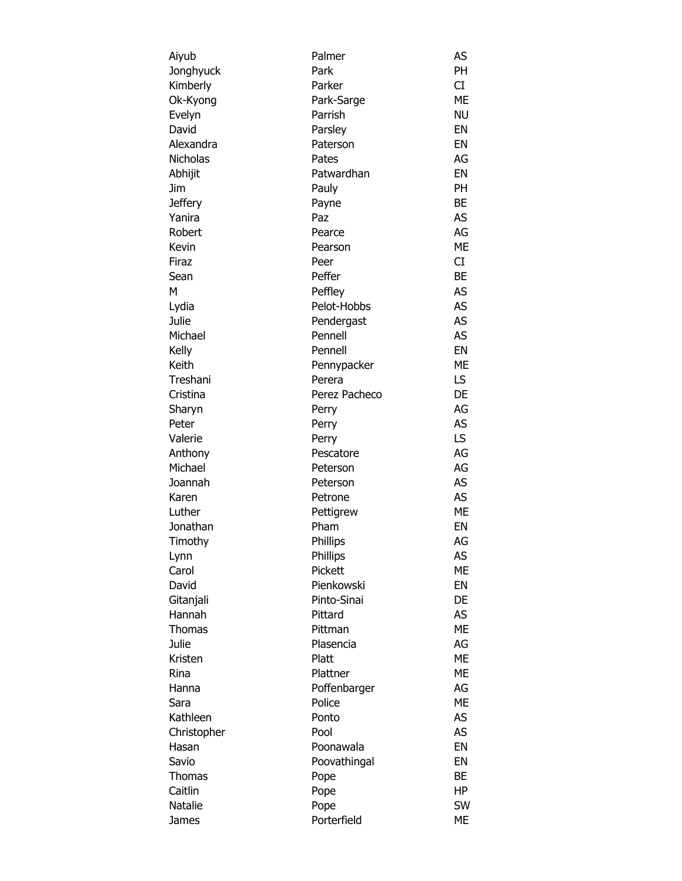| Aiyub           | Palmer        | AS        |
|-----------------|---------------|-----------|
| Jonghyuck       | Park          | PH        |
| Kimberly        | Parker        | <b>CI</b> |
| Ok-Kyong        | Park-Sarge    | ME        |
| Evelyn          | Parrish       | <b>NU</b> |
| David           | Parsley       | EN        |
| Alexandra       | Paterson      | EN        |
| <b>Nicholas</b> | Pates         | AG        |
| Abhijit         | Patwardhan    | EN        |
| Jim             | Pauly         | <b>PH</b> |
| <b>Jeffery</b>  | Payne         | BЕ        |
| Yanira          | Paz           | AS        |
| Robert          | Pearce        | AG        |
| Kevin           | Pearson       | ME        |
| Firaz           | Peer          | CI        |
| Sean            | Peffer        | <b>BE</b> |
| м               | Peffley       | <b>AS</b> |
| Lydia           | Pelot-Hobbs   | AS        |
| Julie           | Pendergast    | <b>AS</b> |
| Michael         | Pennell       | <b>AS</b> |
| Kelly           | Pennell       | EN        |
| Keith           | Pennypacker   | ME        |
| Treshani        | Perera        | LS.       |
| Cristina        | Perez Pacheco | DE        |
| Sharyn          | Perry         | AG        |
| Peter           | Perry         | AS        |
| Valerie         | Perry         | LS        |
| Anthony         | Pescatore     | AG        |
| Michael         | Peterson      | AG        |
| Joannah         | Peterson      | <b>AS</b> |
| Karen           | Petrone       | AS        |
| Luther          | Pettigrew     | <b>ME</b> |
| Jonathan        | Pham          | EN        |
| Timothy         | Phillips      | AG        |
| Lynn            | Phillips      | AS        |
| Carol           | Pickett       | ME        |
| David           | Pienkowski    | EN        |
| Gitanjali       | Pinto-Sinai   | DE        |
| Hannah          | Pittard       | AS        |
| Thomas          | Pittman       | ME        |
| Julie           | Plasencia     | AG        |
| Kristen         | Platt         | <b>ME</b> |
| Rina            | Plattner      | ME        |
| Hanna           | Poffenbarger  | AG        |
| Sara            | Police        | ME        |
| Kathleen        | Ponto         | AS        |
| Christopher     | Pool          | <b>AS</b> |
| Hasan           | Poonawala     | EN        |
| Savio           | Poovathingal  | EN        |
| Thomas          | Pope          | BE        |
| Caitlin         | Pope          | HP        |
| <b>Natalie</b>  | Pope          | SW        |
| James           | Porterfield   | МE        |
|                 |               |           |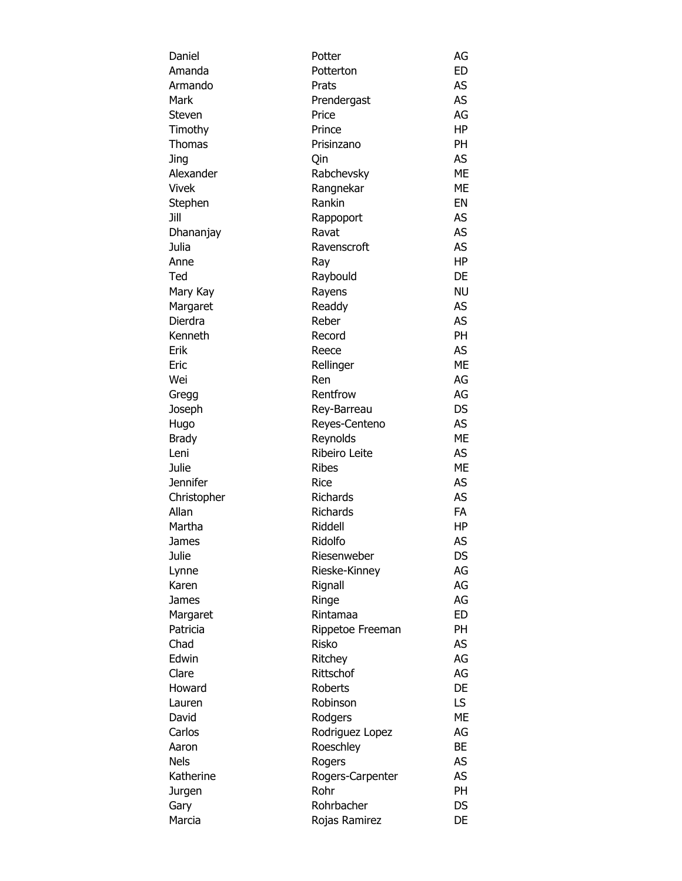| Daniel        | Potter                    | AG        |
|---------------|---------------------------|-----------|
| Amanda        | Potterton                 | ED        |
| Armando       | Prats                     | AS        |
| Mark          | Prendergast               | AS        |
| Steven        | Price                     | AG        |
| Timothy       | Prince                    | HP        |
| <b>Thomas</b> | Prisinzano                | PH        |
| Jing          | Qin                       | AS        |
| Alexander     | Rabchevsky                | <b>ME</b> |
| Vivek         | Rangnekar                 | <b>ME</b> |
| Stephen       | Rankin                    | EN        |
| Jill          | Rappoport                 | AS        |
| Dhananjay     | Ravat                     | AS        |
| Julia         | Ravenscroft               | AS        |
| Anne          | Ray                       | HP        |
| Ted           | Raybould                  | DE        |
| Mary Kay      | Rayens                    | <b>NU</b> |
| Margaret      | Readdy                    | AS.       |
| Dierdra       | Reber                     | AS        |
| Kenneth       | Record                    | <b>PH</b> |
| Erik          | Reece                     | AS        |
| Eric          | Rellinger                 | <b>ME</b> |
| Wei           | Ren                       | AG        |
| Gregg         | Rentfrow                  | AG        |
| Joseph        | Rey-Barreau               | <b>DS</b> |
|               |                           | AS        |
| Hugo          | Reyes-Centeno             | <b>ME</b> |
| Brady<br>Leni | Reynolds<br>Ribeiro Leite | AS        |
|               |                           |           |
| Julie         | <b>Ribes</b>              | <b>ME</b> |
| Jennifer      | <b>Rice</b>               | AS        |
| Christopher   | <b>Richards</b>           | AS        |
| Allan         | Richards                  | FA        |
| Martha        | Riddell                   | HP        |
| James         | Ridolfo                   | AS        |
| Julie         | Riesenweber               | DS        |
| Lynne         | Rieske-Kinney             | AG        |
| Karen         | Rignall                   | AG        |
| James         | Ringe                     | AG        |
| Margaret      | Rintamaa                  | <b>ED</b> |
| Patricia      | Rippetoe Freeman          | <b>PH</b> |
| Chad          | <b>Risko</b>              | AS        |
| Edwin         | Ritchey                   | AG        |
| Clare         | Rittschof                 | AG        |
| Howard        | <b>Roberts</b>            | DE        |
| Lauren        | Robinson                  | LS.       |
| David         | Rodgers                   | <b>ME</b> |
| Carlos        | Rodriguez Lopez           | AG        |
| Aaron         | Roeschley                 | BE        |
| Nels          | Rogers                    | AS        |
| Katherine     | Rogers-Carpenter          | AS        |
| Jurgen        | Rohr                      | <b>PH</b> |
| Gary          | Rohrbacher                | DS        |
| Marcia        | Rojas Ramirez             | DE        |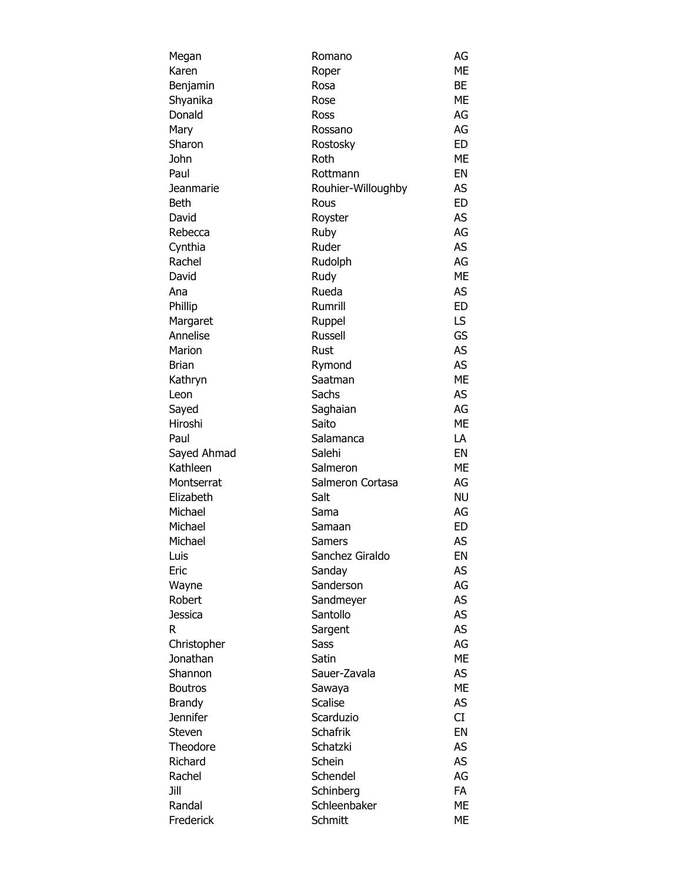| Megan          | Romano             | AG        |
|----------------|--------------------|-----------|
| Karen          | Roper              | ME        |
| Benjamin       | Rosa               | <b>BE</b> |
| Shyanika       | Rose               | ME        |
| Donald         | Ross               | AG        |
| Mary           | Rossano            | AG        |
| Sharon         | Rostosky           | ED        |
| John           | Roth               | <b>ME</b> |
| Paul           | Rottmann           | EN        |
| Jeanmarie      | Rouhier-Willoughby | AS        |
| Beth           | Rous               | <b>ED</b> |
| David          | Royster            | AS        |
| Rebecca        | Ruby               | AG        |
| Cynthia        | Ruder              | AS        |
| Rachel         | Rudolph            | AG        |
| David          | Rudy               | <b>ME</b> |
| Ana            | Rueda              | AS        |
| Phillip        | Rumrill            | <b>ED</b> |
| Margaret       | Ruppel             | LS.       |
| Annelise       | <b>Russell</b>     | GS        |
| Marion         | Rust               | AS        |
| Brian          | Rymond             | AS        |
| Kathryn        | Saatman            | <b>ME</b> |
| Leon           | Sachs              | AS        |
| Sayed          | Saghaian           | AG        |
| Hiroshi        | Saito              | <b>ME</b> |
| Paul           | Salamanca          | LA        |
| Sayed Ahmad    | Salehi             | EN        |
| Kathleen       | Salmeron           | <b>ME</b> |
| Montserrat     | Salmeron Cortasa   | AG        |
| Elizabeth      | Salt               | <b>NU</b> |
| Michael        | Sama               | AG        |
| Michael        | Samaan             | <b>ED</b> |
| Michael        | Samers             | AS        |
| Luis           | Sanchez Giraldo    | EN        |
| Eric           | Sanday             | AS        |
| Wayne          | Sanderson          | AG        |
| Robert         | Sandmeyer          | AS        |
| Jessica        | Santollo           | AS        |
| R              | Sargent            | AS        |
| Christopher    | <b>Sass</b>        | AG        |
| Jonathan       | Satin              | ME        |
| Shannon        | Sauer-Zavala       | AS        |
| <b>Boutros</b> | Sawaya             | <b>ME</b> |
| Brandy         | <b>Scalise</b>     | AS        |
| Jennifer       | Scarduzio          | CI        |
| Steven         | <b>Schafrik</b>    | EN        |
| Theodore       | Schatzki           | AS        |
| Richard        | Schein             | AS        |
| Rachel         | Schendel           | AG        |
| Jill           | Schinberg          | <b>FA</b> |
| Randal         | Schleenbaker       | ME        |
|                |                    |           |
| Frederick      | Schmitt            | ME        |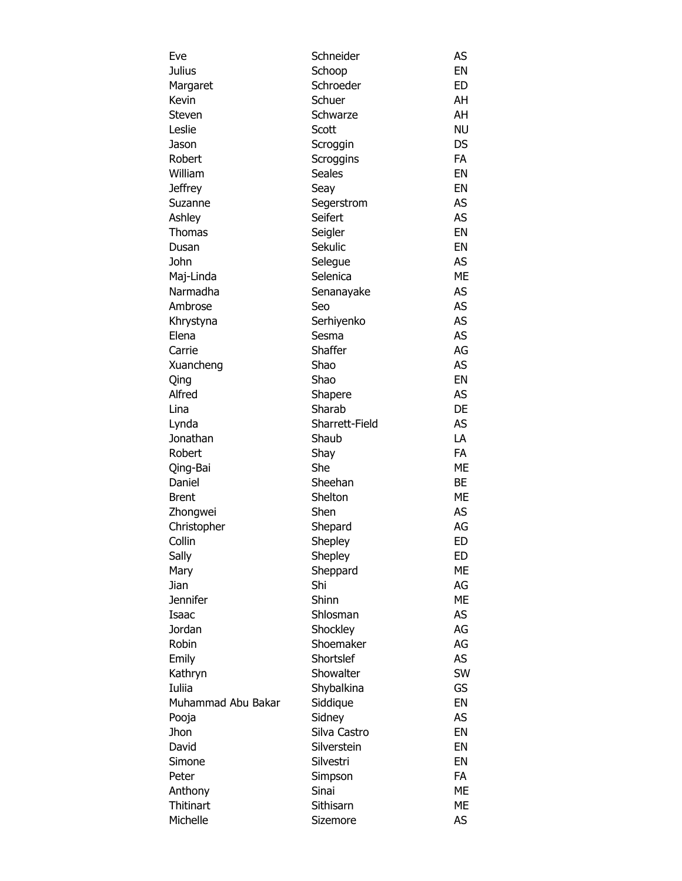| Eve                | Schneider      | AS        |
|--------------------|----------------|-----------|
| <b>Julius</b>      | Schoop         | EN        |
| Margaret           | Schroeder      | <b>ED</b> |
| Kevin              | Schuer         | AH        |
| Steven             | Schwarze       | AH        |
| Leslie             | Scott          | <b>NU</b> |
| Jason              | Scroggin       | DS        |
| Robert             | Scroggins      | <b>FA</b> |
| William            | <b>Seales</b>  | EN        |
| <b>Jeffrey</b>     | Seay           | EN        |
| Suzanne            | Segerstrom     | AS        |
| Ashley             | Seifert        | AS        |
| <b>Thomas</b>      | Seigler        | EN        |
| Dusan              | Sekulic        | EN        |
| John               | Selegue        | AS        |
| Maj-Linda          | Selenica       | <b>ME</b> |
| Narmadha           | Senanayake     | <b>AS</b> |
| Ambrose            | Seo            | AS        |
| Khrystyna          | Serhiyenko     | <b>AS</b> |
| Elena              | Sesma          | <b>AS</b> |
| Carrie             | Shaffer        | AG        |
| Xuancheng          | Shao           | AS        |
| Qing               | Shao           | EN        |
| Alfred             | Shapere        | <b>AS</b> |
| Lina               | Sharab         | DE        |
| Lynda              | Sharrett-Field | AS        |
| Jonathan           | Shaub          | LA        |
| Robert             | Shay           | <b>FA</b> |
| Qing-Bai           | She            | <b>ME</b> |
| Daniel             | Sheehan        | BE        |
| <b>Brent</b>       | Shelton        | ME        |
| Zhongwei           | Shen           | <b>AS</b> |
| Christopher        | Shepard        | AG        |
| Collin             | Shepley        | <b>ED</b> |
| Sally              | Shepley        | ED        |
| Mary               | Sheppard       | МE        |
| Jian               | Shi            | AG        |
| <b>Jennifer</b>    | Shinn          | <b>ME</b> |
| Isaac              | Shlosman       | <b>AS</b> |
| Jordan             | Shockley       | AG        |
| Robin              | Shoemaker      | AG        |
| Emily              | Shortslef      | <b>AS</b> |
| Kathryn            | Showalter      | SW        |
| Iuliia             | Shybalkina     | GS        |
| Muhammad Abu Bakar | Siddique       | EN        |
| Pooja              | Sidney         | AS        |
| Jhon               | Silva Castro   | EN        |
| David              | Silverstein    | EN        |
| Simone             | Silvestri      | EN        |
| Peter              | Simpson        | FA        |
| Anthony            | Sinai          | ME        |
| <b>Thitinart</b>   | Sithisarn      | ME        |
| Michelle           | Sizemore       | AS        |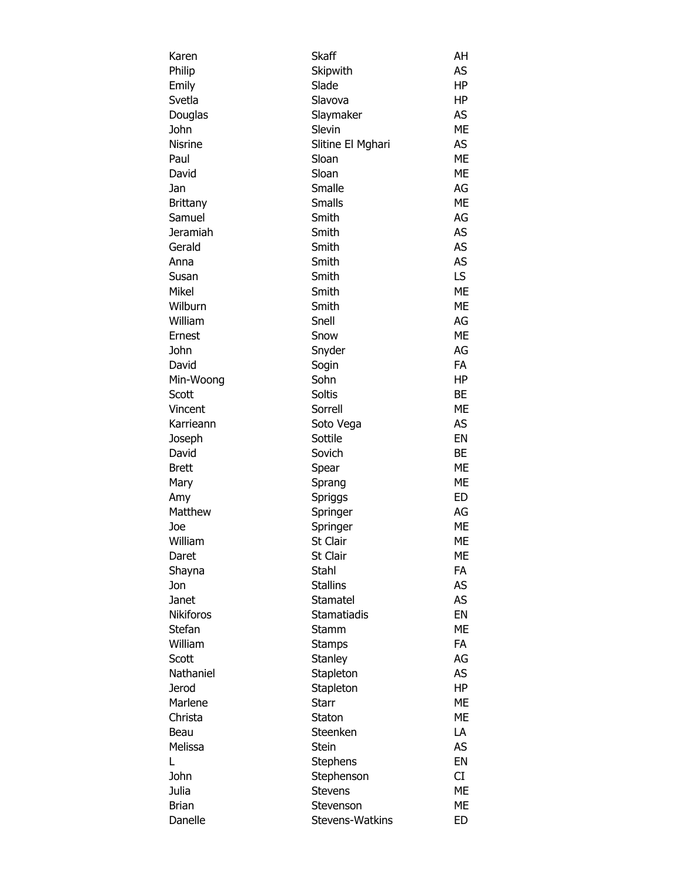| Karen            | Skaff              | AH        |
|------------------|--------------------|-----------|
| Philip           | Skipwith           | AS        |
| Emily            | Slade              | ΗP        |
| Svetla           | Slavova            | HP        |
| Douglas          | Slaymaker          | AS        |
| John             | Slevin             | ME        |
| <b>Nisrine</b>   | Slitine El Mghari  | AS        |
| Paul             | Sloan              | <b>ME</b> |
| David            | Sloan              | <b>ME</b> |
| Jan              | Smalle             | AG        |
| <b>Brittany</b>  | <b>Smalls</b>      | ME        |
| Samuel           | Smith              | AG        |
| Jeramiah         | Smith              | <b>AS</b> |
| Gerald           | Smith              | AS        |
| Anna             | Smith              | AS        |
| Susan            | Smith              | LS        |
| Mikel            | Smith              | <b>ME</b> |
| Wilburn          | Smith              | <b>ME</b> |
|                  |                    |           |
| William          | Snell              | AG        |
| Ernest           | Snow               | ME        |
| John             | Snyder             | AG        |
| David            | Sogin              | FA        |
| Min-Woong        | Sohn               | HP        |
| Scott            | Soltis             | <b>BE</b> |
| Vincent          | Sorrell            | ME        |
| Karrieann        | Soto Vega          | AS        |
| Joseph           | Sottile            | EN        |
| David            | Sovich             | <b>BE</b> |
| <b>Brett</b>     | Spear              | ME        |
| Mary             | Sprang             | ME        |
| Amy              | Spriggs            | <b>ED</b> |
| Matthew          | Springer           | AG        |
| Joe              | Springer           | ME        |
| William          | St Clair           | ME        |
| Daret            | St Clair           | ME        |
| Shayna           | Stahl              | FA        |
| Jon              | <b>Stallins</b>    | AS        |
| Janet            | Stamatel           | AS        |
| <b>Nikiforos</b> | <b>Stamatiadis</b> | EN        |
| Stefan           | Stamm              | ME        |
| William          | <b>Stamps</b>      | FA        |
| Scott            | Stanley            | AG        |
| Nathaniel        | Stapleton          | AS        |
| <b>Jerod</b>     | Stapleton          | <b>HP</b> |
| Marlene          | <b>Starr</b>       | ME        |
| Christa          | Staton             | МE        |
| Beau             | Steenken           | LA        |
| Melissa          | Stein              | AS        |
| L                | <b>Stephens</b>    | EN        |
| John             | Stephenson         | CI        |
| Julia            | Stevens            | МE        |
| <b>Brian</b>     | Stevenson          | МE        |
| Danelle          | Stevens-Watkins    | ED        |
|                  |                    |           |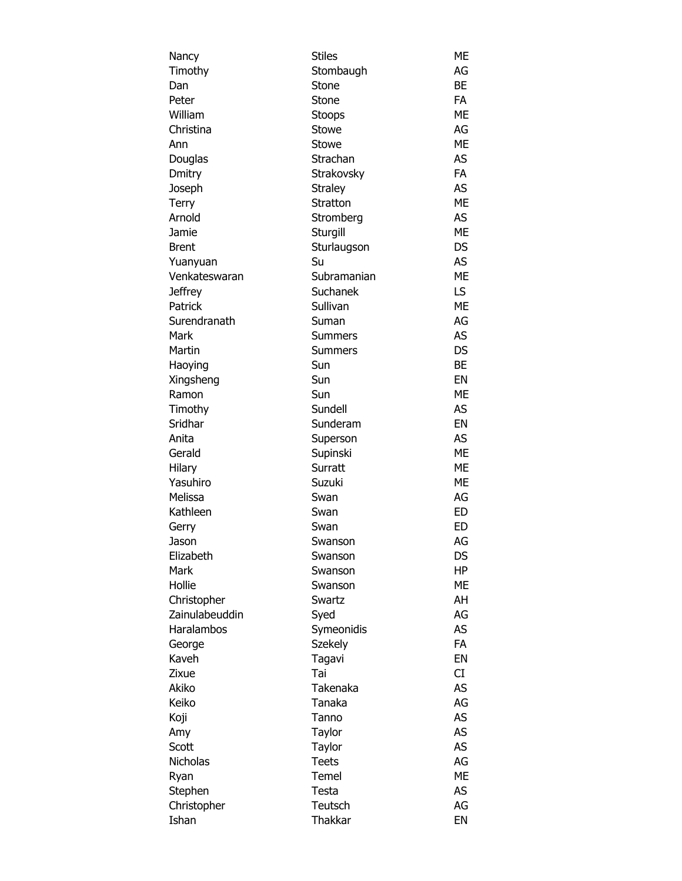| Nancy          | <b>Stiles</b>  | ME        |
|----------------|----------------|-----------|
| Timothy        | Stombaugh      | AG        |
| Dan            | Stone          | <b>BE</b> |
| Peter          | Stone          | <b>FA</b> |
| William        | <b>Stoops</b>  | ME        |
| Christina      | Stowe          | AG        |
| Ann            | Stowe          | <b>ME</b> |
| Douglas        | Strachan       | AS        |
| Dmitry         | Strakovsky     | <b>FA</b> |
| Joseph         | <b>Straley</b> | AS        |
| Terry          | Stratton       | <b>ME</b> |
| Arnold         | Stromberg      | AS        |
| Jamie          | Sturgill       | <b>ME</b> |
| <b>Brent</b>   | Sturlaugson    | <b>DS</b> |
| Yuanyuan       | Su             | AS        |
| Venkateswaran  | Subramanian    | <b>ME</b> |
| Jeffrey        | Suchanek       | LS        |
| Patrick        | Sullivan       | <b>ME</b> |
| Surendranath   | Suman          | AG        |
| Mark           | <b>Summers</b> | AS        |
| Martin         | <b>Summers</b> | <b>DS</b> |
| Haoying        | Sun            | BE        |
| Xingsheng      | Sun            | EN        |
| Ramon          | Sun            | <b>ME</b> |
| Timothy        | Sundell        | AS        |
| Sridhar        | Sunderam       | EN        |
| Anita          | Superson       | AS        |
| Gerald         | Supinski       | <b>ME</b> |
| Hilary         | Surratt        | <b>ME</b> |
| Yasuhiro       | Suzuki         | ME        |
| Melissa        | Swan           | AG        |
| Kathleen       | Swan           | ED        |
| Gerry          | Swan           | ED        |
| Jason          | Swanson        | AG        |
| Elizabeth      | Swanson        | DS        |
| Mark           | Swanson        | HP        |
| Hollie         | Swanson        | МE        |
| Christopher    | Swartz         | AH        |
| Zainulabeuddin | Syed           | AG        |
| Haralambos     | Symeonidis     | AS        |
| George         | Szekely        | <b>FA</b> |
| Kaveh          | Tagavi         | EN        |
| Zixue          | Tai            | CI        |
| Akiko          | Takenaka       | AS        |
| Keiko          | Tanaka         | AG        |
| Koji           | Tanno          | AS        |
| Amy            | Taylor         | AS        |
| Scott          | Taylor         | AS        |
| Nicholas       | <b>Teets</b>   | AG        |
| Ryan           | Temel          | <b>ME</b> |
| Stephen        | Testa          | AS        |
| Christopher    | Teutsch        | AG        |
| Ishan          | Thakkar        | EN        |
|                |                |           |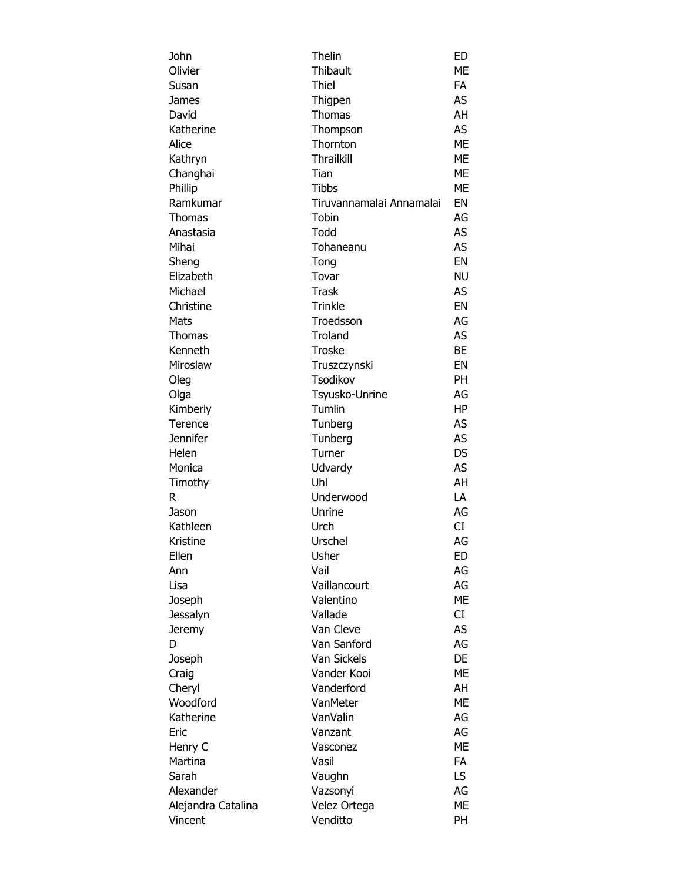| John               | Thelin                   | ED        |
|--------------------|--------------------------|-----------|
| Olivier            | Thibault                 | MЕ        |
| Susan              | Thiel                    | FA        |
| James              | Thigpen                  | AS        |
| David              | Thomas                   | AH        |
| Katherine          | Thompson                 | AS        |
| Alice              | Thornton                 | <b>ME</b> |
| Kathryn            | <b>Thrailkill</b>        | <b>ME</b> |
| Changhai           | Tian                     | <b>ME</b> |
| Phillip            | <b>Tibbs</b>             | <b>ME</b> |
| Ramkumar           | Tiruvannamalai Annamalai | EN        |
| Thomas             | Tobin                    | AG        |
| Anastasia          | Todd                     | AS        |
| Mihai              | Tohaneanu                | AS        |
| Sheng              | Tong                     | EN        |
| Elizabeth          | Tovar                    | <b>NU</b> |
| Michael            | <b>Trask</b>             | AS        |
| Christine          | <b>Trinkle</b>           | EN        |
| Mats               | Troedsson                | AG        |
| <b>Thomas</b>      | Troland                  | AS        |
| Kenneth            | <b>Troske</b>            | <b>BE</b> |
| Miroslaw           | Truszczynski             | EN        |
| Oleg               | Tsodikov                 | <b>PH</b> |
| Olga               | Tsyusko-Unrine           | AG        |
| Kimberly           | Tumlin                   | HP        |
| Terence            | Tunberg                  | AS        |
| Jennifer           | Tunberg                  | AS        |
| Helen              | Turner                   | DS        |
| Monica             | Udvardy                  | AS        |
| Timothy            | Uhl                      | AH        |
| R                  | Underwood                | LA        |
| Jason              | Unrine                   | AG        |
| Kathleen           | Urch                     | CI        |
| Kristine           | Urschel                  | AG        |
| Ellen              | Usher                    | ED        |
| Ann                | Vail                     | AG        |
| Lisa               | Vaillancourt             | AG        |
| Joseph             | Valentino                | МE        |
| Jessalyn           | Vallade                  | CI        |
| Jeremy             | Van Cleve                | AS        |
| D                  | Van Sanford              | AG        |
| Joseph             | Van Sickels              | DE        |
| Craig              | Vander Kooi              | ME        |
| Cheryl             | Vanderford               | AH        |
| Woodford           | VanMeter                 | ME        |
| Katherine          | VanValin                 | AG        |
| Eric               | Vanzant                  | AG        |
| Henry C            | Vasconez                 | ME        |
| Martina            | Vasil                    | <b>FA</b> |
| Sarah              | Vaughn                   | LS.       |
| Alexander          | Vazsonyi                 | AG        |
| Alejandra Catalina | Velez Ortega             | ME        |
| Vincent            | Venditto                 | PH        |
|                    |                          |           |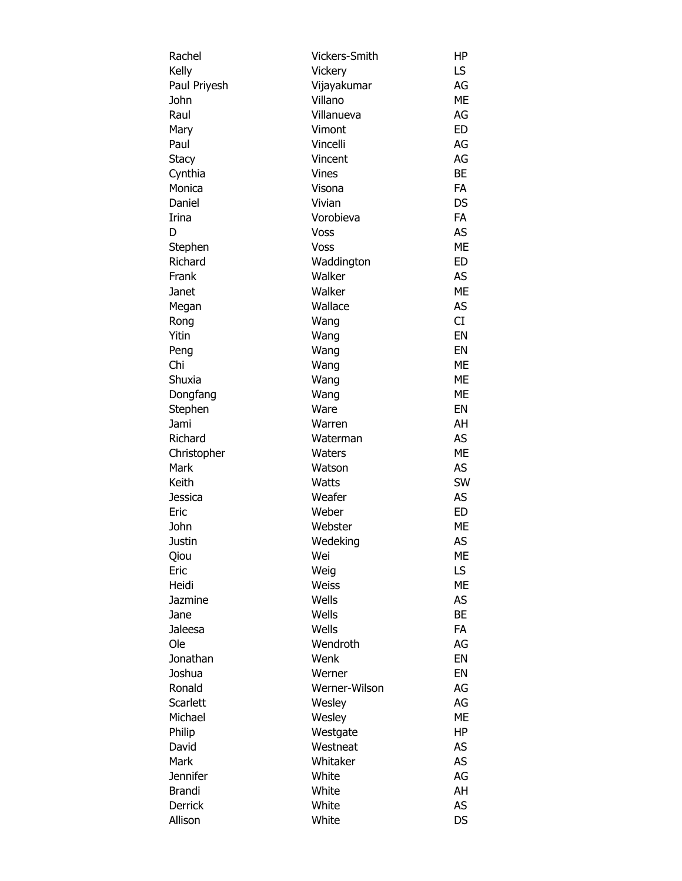| Rachel       | Vickers-Smith | ΗP        |
|--------------|---------------|-----------|
| Kelly        | Vickery       | LS        |
| Paul Priyesh | Vijayakumar   | AG        |
| John         | Villano       | ME        |
| Raul         | Villanueva    | AG        |
| Mary         | Vimont        | <b>ED</b> |
| Paul         | Vincelli      | AG        |
| Stacy        | Vincent       | AG        |
| Cynthia      | <b>Vines</b>  | <b>BE</b> |
| Monica       | Visona        | <b>FA</b> |
| Daniel       | Vivian        | <b>DS</b> |
| Irina        | Vorobieva     | <b>FA</b> |
| D            | Voss          | AS        |
| Stephen      | Voss          | <b>ME</b> |
| Richard      | Waddington    | ED        |
| Frank        | Walker        | AS        |
| Janet        | Walker        | <b>ME</b> |
| Megan        | Wallace       | AS        |
| Rong         | Wang          | CI        |
| Yitin        | Wang          | EN        |
| Peng         | Wang          | EN        |
| Chi          | Wang          | МE        |
| Shuxia       | Wang          | МE        |
| Dongfang     | Wang          | ME        |
| Stephen      | Ware          | EN        |
| Jami         | Warren        | AH        |
| Richard      | Waterman      | AS        |
| Christopher  | Waters        | ME        |
| Mark         | Watson        | AS        |
| Keith        | <b>Watts</b>  | SW        |
|              | Weafer        | AS        |
| Jessica      |               |           |
| Eric         | Weber         | ED        |
| John         | Webster       | ME        |
| Justin       | Wedeking      | AS        |
| Qiou         | Wei           | ME        |
| Eric         | Weig          | LS        |
| Heidi        | Weiss         | ME        |
| Jazmine      | Wells         | AS        |
| Jane         | Wells         | <b>BE</b> |
| Jaleesa      | Wells         | <b>FA</b> |
| Ole          | Wendroth      | AG        |
| Jonathan     | Wenk          | EN        |
| Joshua       | Werner        | EN        |
| Ronald       | Werner-Wilson | AG        |
| Scarlett     | Wesley        | AG        |
| Michael      | Wesley        | ME        |
| Philip       | Westgate      | HP        |
| David        | Westneat      | AS        |
| Mark         | Whitaker      | AS        |
| Jennifer     | White         | AG        |
| Brandi       | White         | AH        |
| Derrick      | White         | AS        |
| Allison      | White         | <b>DS</b> |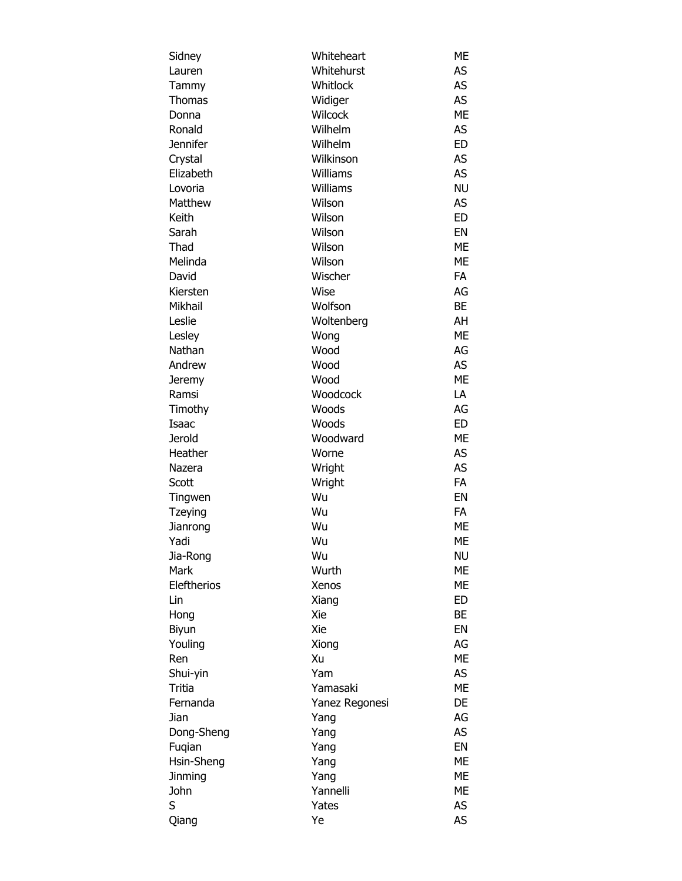| Sidney         | Whiteheart       | ME        |
|----------------|------------------|-----------|
| Lauren         | Whitehurst       | AS        |
| Tammy          | Whitlock         | AS        |
| <b>Thomas</b>  | Widiger          | AS        |
| Donna          | Wilcock          | <b>ME</b> |
| Ronald         | Wilhelm          | AS        |
| Jennifer       | Wilhelm          | ED        |
| Crystal        | Wilkinson        | AS        |
| Elizabeth      | Williams         | AS        |
| Lovoria        | Williams         | <b>NU</b> |
| Matthew        | Wilson           | AS        |
| Keith          | Wilson           | <b>ED</b> |
| Sarah          | Wilson           | EN        |
| Thad           | Wilson           | <b>ME</b> |
| Melinda        | Wilson           | ME        |
| David          | Wischer          | FA        |
| Kiersten       | Wise             | AG        |
| Mikhail        | Wolfson          | BE        |
| Leslie         | Woltenberg       | AH        |
| Lesley         | Wong             | ME        |
| Nathan         | Wood             | AG        |
| Andrew         | Wood             | AS        |
| Jeremy         | Wood             | <b>ME</b> |
| Ramsi          | Woodcock         | LA        |
| Timothy        | Woods            | AG        |
| Isaac          | Woods            | <b>ED</b> |
| Jerold         | Woodward         | <b>ME</b> |
| Heather        | Worne            | AS        |
| Nazera         | Wright           | AS        |
| Scott          | Wright           | <b>FA</b> |
| Tingwen        | Wu               | EN        |
| <b>Tzeying</b> | Wu               | FA        |
| Jianrong       | Wu               | <b>ME</b> |
| Yadi           | Wu               | ME        |
| Jia-Rong       | Wu               | <b>NU</b> |
| Mark           | Wurth            | <b>ME</b> |
| Eleftherios    | Xenos            | ME        |
| Lin            | Xiang            | ED        |
| Hong           | Xie              | BE        |
| Biyun          | Xie              | EN        |
| Youling        | Xiong            | AG        |
| Ren            | Xu               | <b>ME</b> |
| Shui-yin       | Yam              | AS        |
| Tritia         | Yamasaki         | <b>ME</b> |
| Fernanda       | Yanez Regonesi   | DE        |
| Jian           | Yang             | AG        |
| Dong-Sheng     | Yang             | AS        |
| Fugian         | Yang             | EN        |
| Hsin-Sheng     | Yang             | <b>ME</b> |
| <b>Jinming</b> |                  | ME        |
| John           | Yang<br>Yannelli | <b>ME</b> |
|                |                  |           |
| S              | Yates            | AS        |
| Qiang          | Ye               | AS        |